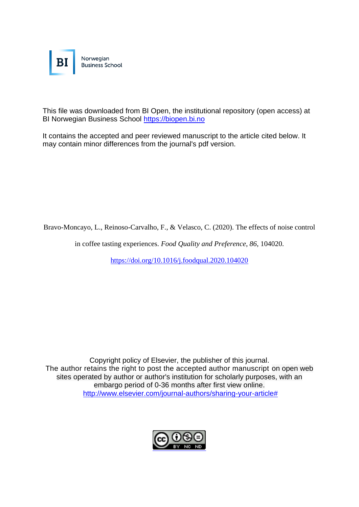

This file was downloaded from BI Open, the institutional repository (open access) at BI Norwegian Business School [https://biopen.bi.no](https://biopen.bi.no/)

It contains the accepted and peer reviewed manuscript to the article cited below. It may contain minor differences from the journal's pdf version.

Bravo-Moncayo, L., Reinoso-Carvalho, F., & Velasco, C. (2020). The effects of noise control

in coffee tasting experiences. *Food Quality and Preference*, *86*, 104020.

<https://doi.org/10.1016/j.foodqual.2020.104020>

Copyright policy of Elsevier, the publisher of this journal. The author retains the right to post the accepted author manuscript on open web sites operated by author or author's institution for scholarly purposes, with an embargo period of 0-36 months after first view online. [http://www.elsevier.com/journal-authors/sharing-your-article#](http://www.elsevier.com/journal-authors/sharing-your-article)

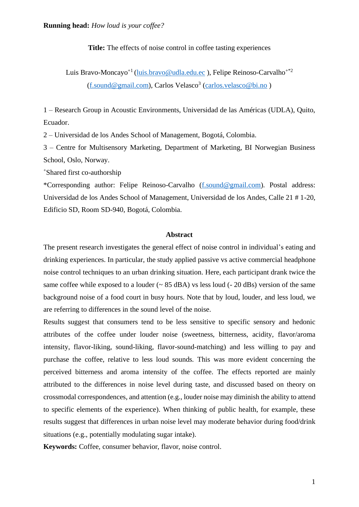**Title:** The effects of noise control in coffee tasting experiences

Luis Bravo-Moncayo<sup>+1</sup> [\(luis.bravo@udla.edu.ec](mailto:luis.bravo@udla.edu.ec)), Felipe Reinoso-Carvalho<sup>+\*2</sup> [\(f.sound@gmail.com\)](mailto:f.sound@gmail.com), Carlos Velasco<sup>3</sup> [\(carlos.velasco@bi.no](mailto:carlos.velasco@bi.no))

1 – Research Group in Acoustic Environments, Universidad de las Américas (UDLA), Quito, Ecuador.

2 – Universidad de los Andes School of Management, Bogotá, Colombia.

3 – Centre for Multisensory Marketing, Department of Marketing, BI Norwegian Business School, Oslo, Norway.

<sup>+</sup>Shared first co-authorship

\*Corresponding author: Felipe Reinoso-Carvalho [\(f.sound@gmail.com\)](mailto:f.sound@gmail.com). Postal address: Universidad de los Andes School of Management, Universidad de los Andes, Calle 21 # 1-20, Edificio SD, Room SD-940, Bogotá, Colombia.

## **Abstract**

The present research investigates the general effect of noise control in individual's eating and drinking experiences. In particular, the study applied passive vs active commercial headphone noise control techniques to an urban drinking situation. Here, each participant drank twice the same coffee while exposed to a louder  $(~85 \text{ dBA})$  vs less loud  $(-20 \text{ dBs})$  version of the same background noise of a food court in busy hours. Note that by loud, louder, and less loud, we are referring to differences in the sound level of the noise.

Results suggest that consumers tend to be less sensitive to specific sensory and hedonic attributes of the coffee under louder noise (sweetness, bitterness, acidity, flavor/aroma intensity, flavor-liking, sound-liking, flavor-sound-matching) and less willing to pay and purchase the coffee, relative to less loud sounds. This was more evident concerning the perceived bitterness and aroma intensity of the coffee. The effects reported are mainly attributed to the differences in noise level during taste, and discussed based on theory on crossmodal correspondences, and attention (e.g., louder noise may diminish the ability to attend to specific elements of the experience). When thinking of public health, for example, these results suggest that differences in urban noise level may moderate behavior during food/drink situations (e.g., potentially modulating sugar intake).

**Keywords:** Coffee, consumer behavior, flavor, noise control.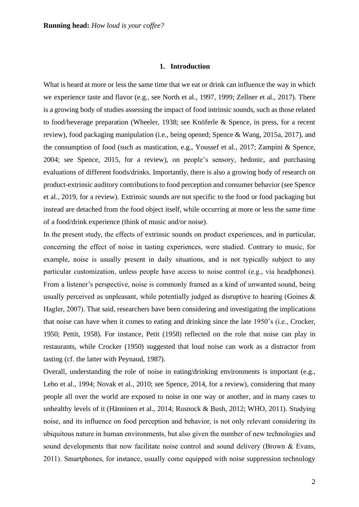#### **1. Introduction**

What is heard at more or less the same time that we eat or drink can influence the way in which we experience taste and flavor (e.g., see North et al., 1997, 1999; Zellner et al., 2017). There is a growing body of studies assessing the impact of food intrinsic sounds, such as those related to food/beverage preparation (Wheeler, 1938; see Knöferle & Spence, in press, for a recent review), food packaging manipulation (i.e., being opened; Spence & Wang, 2015a, 2017), and the consumption of food (such as mastication, e.g., Youssef et al., 2017; Zampini & Spence, 2004; see Spence, 2015, for a review), on people's sensory, hedonic, and purchasing evaluations of different foods/drinks. Importantly, there is also a growing body of research on product-extrinsic auditory contributions to food perception and consumer behavior (see Spence et al., 2019, for a review). Extrinsic sounds are not specific to the food or food packaging but instead are detached from the food object itself, while occurring at more or less the same time of a food/drink experience (think of music and/or noise).

In the present study, the effects of extrinsic sounds on product experiences, and in particular, concerning the effect of noise in tasting experiences, were studied. Contrary to music, for example, noise is usually present in daily situations, and is not typically subject to any particular customization, unless people have access to noise control (e.g., via headphones). From a listener's perspective, noise is commonly framed as a kind of unwanted sound, being usually perceived as unpleasant, while potentially judged as disruptive to hearing (Goines & Hagler, 2007). That said, researchers have been considering and investigating the implications that noise can have when it comes to eating and drinking since the late 1950's (i.e., Crocker, 1950; Pettit, 1958). For instance, Petit (1958) reflected on the role that noise can play in restaurants, while Crocker (1950) suggested that loud noise can work as a distractor from tasting (cf. the latter with Peynaud, 1987).

Overall, understanding the role of noise in eating/drinking environments is important (e.g., Lebo et al., 1994; Novak et al., 2010; see Spence, 2014, for a review), considering that many people all over the world are exposed to noise in one way or another, and in many cases to unhealthy levels of it (Hänninen et al., 2014; Rusnock & Bush, 2012; WHO, 2011). Studying noise, and its influence on food perception and behavior, is not only relevant considering its ubiquitous nature in human environments, but also given the number of new technologies and sound developments that now facilitate noise control and sound delivery (Brown & Evans, 2011). Smartphones, for instance, usually come equipped with noise suppression technology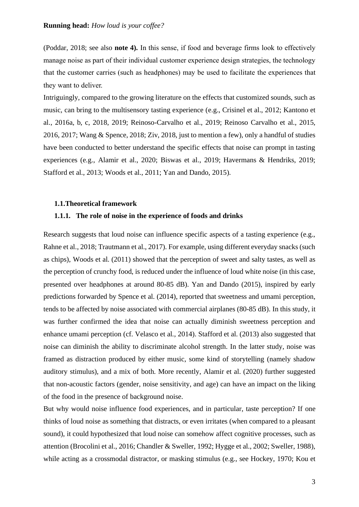(Poddar, 2018; see also **note 4).** In this sense, if food and beverage firms look to effectively manage noise as part of their individual customer experience design strategies, the technology that the customer carries (such as headphones) may be used to facilitate the experiences that they want to deliver.

Intriguingly, compared to the growing literature on the effects that customized sounds, such as music, can bring to the multisensory tasting experience (e.g., Crisinel et al., 2012; Kantono et al., 2016a, b, c, 2018, 2019; Reinoso-Carvalho et al., 2019; Reinoso Carvalho et al., 2015, 2016, 2017; Wang & Spence, 2018; Ziv, 2018, just to mention a few), only a handful of studies have been conducted to better understand the specific effects that noise can prompt in tasting experiences (e.g., Alamir et al., 2020; Biswas et al., 2019; Havermans & Hendriks, 2019; Stafford et al., 2013; Woods et al., 2011; Yan and Dando, 2015).

#### **1.1.Theoretical framework**

# **1.1.1. The role of noise in the experience of foods and drinks**

Research suggests that loud noise can influence specific aspects of a tasting experience (e.g., Rahne et al., 2018; Trautmann et al., 2017). For example, using different everyday snacks (such as chips), Woods et al. (2011) showed that the perception of sweet and salty tastes, as well as the perception of crunchy food, is reduced under the influence of loud white noise (in this case, presented over headphones at around 80-85 dB). Yan and Dando (2015), inspired by early predictions forwarded by Spence et al. (2014), reported that sweetness and umami perception, tends to be affected by noise associated with commercial airplanes (80-85 dB). In this study, it was further confirmed the idea that noise can actually diminish sweetness perception and enhance umami perception (cf. Velasco et al., 2014). Stafford et al. (2013) also suggested that noise can diminish the ability to discriminate alcohol strength. In the latter study, noise was framed as distraction produced by either music, some kind of storytelling (namely shadow auditory stimulus), and a mix of both. More recently, Alamir et al. (2020) further suggested that non-acoustic factors (gender, noise sensitivity, and age) can have an impact on the liking of the food in the presence of background noise.

But why would noise influence food experiences, and in particular, taste perception? If one thinks of loud noise as something that distracts, or even irritates (when compared to a pleasant sound), it could hypothesized that loud noise can somehow affect cognitive processes, such as attention (Brocolini et al., 2016; Chandler & Sweller, 1992; Hygge et al., 2002; Sweller, 1988), while acting as a crossmodal distractor, or masking stimulus (e.g., see Hockey, 1970; Kou et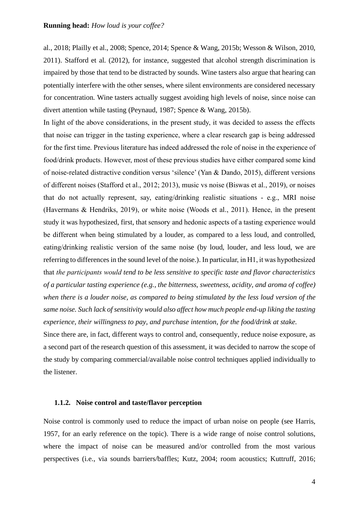al., 2018; Plailly et al., 2008; Spence, 2014; Spence & Wang, 2015b; Wesson & Wilson, 2010, 2011). Stafford et al. (2012), for instance, suggested that alcohol strength discrimination is impaired by those that tend to be distracted by sounds. Wine tasters also argue that hearing can potentially interfere with the other senses, where silent environments are considered necessary for concentration. Wine tasters actually suggest avoiding high levels of noise, since noise can divert attention while tasting (Peynaud, 1987; Spence & Wang, 2015b).

In light of the above considerations, in the present study, it was decided to assess the effects that noise can trigger in the tasting experience, where a clear research gap is being addressed for the first time. Previous literature has indeed addressed the role of noise in the experience of food/drink products. However, most of these previous studies have either compared some kind of noise-related distractive condition versus 'silence' (Yan & Dando, 2015), different versions of different noises (Stafford et al., 2012; 2013), music vs noise (Biswas et al., 2019), or noises that do not actually represent, say, eating/drinking realistic situations - e.g., MRI noise (Havermans & Hendriks, 2019), or white noise (Woods et al., 2011). Hence, in the present study it was hypothesized, first, that sensory and hedonic aspects of a tasting experience would be different when being stimulated by a louder, as compared to a less loud, and controlled, eating/drinking realistic version of the same noise (by loud, louder, and less loud, we are referring to differences in the sound level of the noise.). In particular, in H1, it was hypothesized that *the participants would tend to be less sensitive to specific taste and flavor characteristics of a particular tasting experience (e.g., the bitterness, sweetness, acidity, and aroma of coffee) when there is a louder noise, as compared to being stimulated by the less loud version of the same noise. Such lack of sensitivity would also affect how much people end-up liking the tasting experience, their willingness to pay, and purchase intention, for the food/drink at stake.*

Since there are, in fact, different ways to control and, consequently, reduce noise exposure, as a second part of the research question of this assessment, it was decided to narrow the scope of the study by comparing commercial/available noise control techniques applied individually to the listener.

#### **1.1.2. Noise control and taste/flavor perception**

Noise control is commonly used to reduce the impact of urban noise on people (see Harris, 1957, for an early reference on the topic). There is a wide range of noise control solutions, where the impact of noise can be measured and/or controlled from the most various perspectives (i.e., via sounds barriers/baffles; Kutz, 2004; room acoustics; Kuttruff, 2016;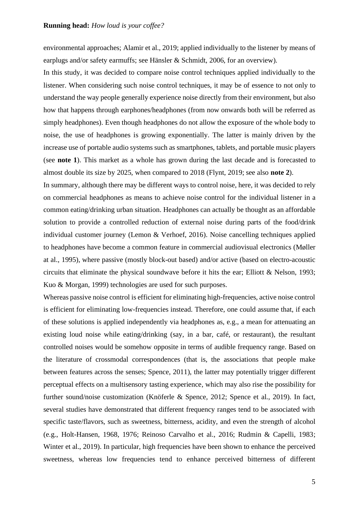environmental approaches; Alamir et al., 2019; applied individually to the listener by means of earplugs and/or safety earmuffs; see Hänsler & Schmidt, 2006, for an overview).

In this study, it was decided to compare noise control techniques applied individually to the listener. When considering such noise control techniques, it may be of essence to not only to understand the way people generally experience noise directly from their environment, but also how that happens through earphones/headphones (from now onwards both will be referred as simply headphones). Even though headphones do not allow the exposure of the whole body to noise, the use of headphones is growing exponentially. The latter is mainly driven by the increase use of portable audio systems such as smartphones, tablets, and portable music players (see **note 1**). This market as a whole has grown during the last decade and is forecasted to almost double its size by 2025, when compared to 2018 (Flynt, 2019; see also **note 2**).

In summary, although there may be different ways to control noise, here, it was decided to rely on commercial headphones as means to achieve noise control for the individual listener in a common eating/drinking urban situation. Headphones can actually be thought as an affordable solution to provide a controlled reduction of external noise during parts of the food/drink individual customer journey (Lemon & Verhoef, 2016). Noise cancelling techniques applied to headphones have become a common feature in commercial audiovisual electronics (Møller at al., 1995), where passive (mostly block-out based) and/or active (based on electro-acoustic circuits that eliminate the physical soundwave before it hits the ear; Elliott & Nelson, 1993; Kuo & Morgan, 1999) technologies are used for such purposes.

Whereas passive noise control is efficient for eliminating high-frequencies, active noise control is efficient for eliminating low-frequencies instead. Therefore, one could assume that, if each of these solutions is applied independently via headphones as, e.g., a mean for attenuating an existing loud noise while eating/drinking (say, in a bar, café, or restaurant), the resultant controlled noises would be somehow opposite in terms of audible frequency range. Based on the literature of crossmodal correspondences (that is, the associations that people make between features across the senses; Spence, 2011), the latter may potentially trigger different perceptual effects on a multisensory tasting experience, which may also rise the possibility for further sound/noise customization (Knöferle & Spence, 2012; Spence et al., 2019). In fact, several studies have demonstrated that different frequency ranges tend to be associated with specific taste/flavors, such as sweetness, bitterness, acidity, and even the strength of alcohol (e.g., Holt-Hansen, 1968, 1976; Reinoso Carvalho et al., 2016; Rudmin & Capelli, 1983; Winter et al., 2019). In particular, high frequencies have been shown to enhance the perceived sweetness, whereas low frequencies tend to enhance perceived bitterness of different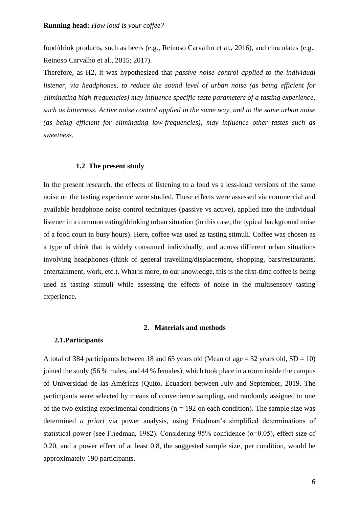food/drink products, such as beers (e.g., Reinoso Carvalho et al., 2016), and chocolates (e.g., Reinoso Carvalho et al., 2015; 2017).

Therefore, as H2, it was hypothesized that *passive noise control applied to the individual listener, via headphones, to reduce the sound level of urban noise (as being efficient for eliminating high-frequencies) may influence specific taste parameters of a tasting experience, such as bitterness. Active noise control applied in the same way, and to the same urban noise (as being efficient for eliminating low-frequencies), may influence other tastes such as sweetness.*

#### **1.2 The present study**

In the present research, the effects of listening to a loud vs a less-loud versions of the same noise on the tasting experience were studied. These effects were assessed via commercial and available headphone noise control techniques (passive vs active), applied into the individual listener in a common eating/drinking urban situation (in this case, the typical background noise of a food court in busy hours). Here, coffee was used as tasting stimuli. Coffee was chosen as a type of drink that is widely consumed individually, and across different urban situations involving headphones (think of general travelling/displacement, shopping, bars/restaurants, entertainment, work, etc.). What is more, to our knowledge, this is the first-time coffee is being used as tasting stimuli while assessing the effects of noise in the multisensory tasting experience.

# **2. Materials and methods**

# **2.1.Participants**

A total of 384 participants between 18 and 65 years old (Mean of age = 32 years old,  $SD = 10$ ) joined the study (56 % males, and 44 % females), which took place in a room inside the campus of Universidad de las Américas (Quito, Ecuador) between July and September, 2019. The participants were selected by means of convenience sampling, and randomly assigned to one of the two existing experimental conditions ( $n = 192$  on each condition). The sample size was determined *a priori* via power analysis, using Friedman's simplified determinations of statistical power (see Friedman, 1982). Considering 95% confidence ( $\alpha$ =0.05), effect size of 0.20, and a power effect of at least 0.8, the suggested sample size, per condition, would be approximately 190 participants.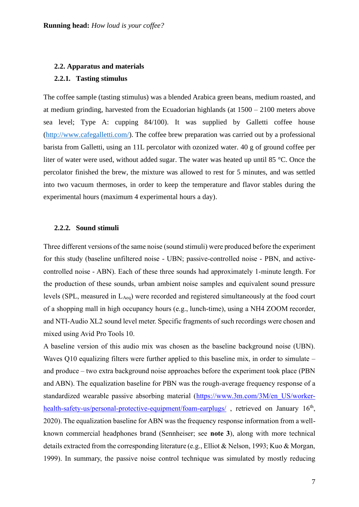#### **2.2. Apparatus and materials**

# **2.2.1. Tasting stimulus**

The coffee sample (tasting stimulus) was a blended Arabica green beans, medium roasted, and at medium grinding, harvested from the Ecuadorian highlands (at 1500 – 2100 meters above sea level; Type A: cupping 84/100). It was supplied by Galletti coffee house [\(http://www.cafegalletti.com/\)](http://www.cafegalletti.com/). The coffee brew preparation was carried out by a professional barista from Galletti, using an 11L percolator with ozonized water. 40 g of ground coffee per liter of water were used, without added sugar. The water was heated up until 85 °C. Once the percolator finished the brew, the mixture was allowed to rest for 5 minutes, and was settled into two vacuum thermoses, in order to keep the temperature and flavor stables during the experimental hours (maximum 4 experimental hours a day).

#### **2.2.2. Sound stimuli**

Three different versions of the same noise (sound stimuli) were produced before the experiment for this study (baseline unfiltered noise - UBN; passive-controlled noise - PBN, and activecontrolled noise - ABN). Each of these three sounds had approximately 1-minute length. For the production of these sounds, urban ambient noise samples and equivalent sound pressure levels (SPL, measured in  $L_{Aeq}$ ) were recorded and registered simultaneously at the food court of a shopping mall in high occupancy hours (e.g., lunch-time), using a NH4 ZOOM recorder, and NTI-Audio XL2 sound level meter. Specific fragments of such recordings were chosen and mixed using Avid Pro Tools 10.

A baseline version of this audio mix was chosen as the baseline background noise (UBN). Waves Q10 equalizing filters were further applied to this baseline mix, in order to simulate – and produce – two extra background noise approaches before the experiment took place (PBN and ABN). The equalization baseline for PBN was the rough-average frequency response of a standardized wearable passive absorbing material [\(https://www.3m.com/3M/en\\_US/worker](https://www.3m.com/3M/en_US/worker-health-safety-us/personal-protective-equipment/foam-earplugs/)[health-safety-us/personal-protective-equipment/foam-earplugs/](https://www.3m.com/3M/en_US/worker-health-safety-us/personal-protective-equipment/foam-earplugs/), retrieved on January 16<sup>th</sup>, 2020). The equalization baseline for ABN was the frequency response information from a wellknown commercial headphones brand (Sennheiser; see **note 3**), along with more technical details extracted from the corresponding literature (e.g., Elliot & Nelson, 1993; Kuo & Morgan, 1999). In summary, the passive noise control technique was simulated by mostly reducing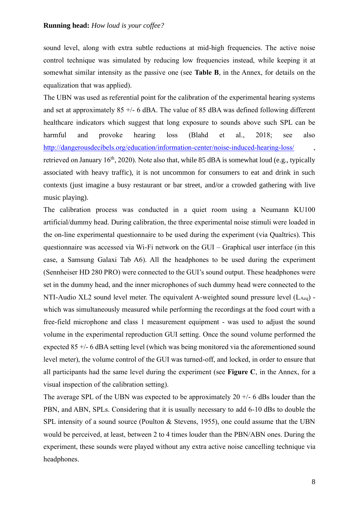sound level, along with extra subtle reductions at mid-high frequencies. The active noise control technique was simulated by reducing low frequencies instead, while keeping it at somewhat similar intensity as the passive one (see **Table B**, in the Annex, for details on the equalization that was applied).

The UBN was used as referential point for the calibration of the experimental hearing systems and set at approximately  $85 +/- 6$  dBA. The value of  $85$  dBA was defined following different healthcare indicators which suggest that long exposure to sounds above such SPL can be harmful and provoke hearing loss (Blahd et al., 2018; see also <http://dangerousdecibels.org/education/information-center/noise-induced-hearing-loss/> retrieved on January 16<sup>th</sup>, 2020). Note also that, while 85 dBA is somewhat loud (e.g., typically associated with heavy traffic), it is not uncommon for consumers to eat and drink in such contexts (just imagine a busy restaurant or bar street, and/or a crowded gathering with live music playing).

The calibration process was conducted in a quiet room using a Neumann KU100 artificial/dummy head. During calibration, the three experimental noise stimuli were loaded in the on-line experimental questionnaire to be used during the experiment (via Qualtrics). This questionnaire was accessed via Wi-Fi network on the GUI – Graphical user interface (in this case, a Samsung Galaxi Tab A6). All the headphones to be used during the experiment (Sennheiser HD 280 PRO) were connected to the GUI's sound output. These headphones were set in the dummy head, and the inner microphones of such dummy head were connected to the NTI-Audio XL2 sound level meter. The equivalent A-weighted sound pressure level  $(L_{Aeq})$  which was simultaneously measured while performing the recordings at the food court with a free-field microphone and class 1 measurement equipment - was used to adjust the sound volume in the experimental reproduction GUI setting. Once the sound volume performed the expected 85 +/- 6 dBA setting level (which was being monitored via the aforementioned sound level meter), the volume control of the GUI was turned-off, and locked, in order to ensure that all participants had the same level during the experiment (see **Figure C**, in the Annex, for a visual inspection of the calibration setting).

The average SPL of the UBN was expected to be approximately  $20 +1$ - 6 dBs louder than the PBN, and ABN, SPLs. Considering that it is usually necessary to add 6-10 dBs to double the SPL intensity of a sound source (Poulton & Stevens, 1955), one could assume that the UBN would be perceived, at least, between 2 to 4 times louder than the PBN/ABN ones. During the experiment, these sounds were played without any extra active noise cancelling technique via headphones.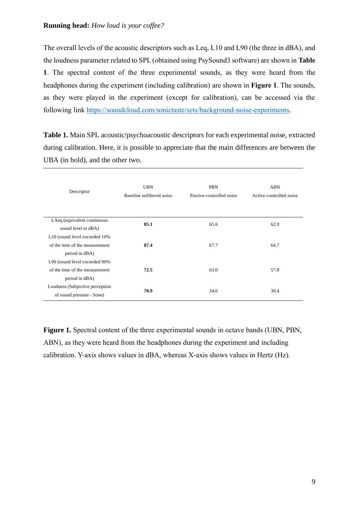The overall levels of the acoustic descriptors such as Leq, L10 and L90 (the three in dBA), and the loudness parameter related to SPL (obtained using PsySound3 software) are shown in **Table 1**. The spectral content of the three experimental sounds, as they were heard from the headphones during the experiment (including calibration) are shown in **Figure 1**. The sounds, as they were played in the experiment (except for calibration), can be accessed via the following link [https://soundcloud.com/sonictaste/sets/background-noise-experiments.](https://soundcloud.com/sonictaste/sets/background-noise-experiments)

**Table 1.** Main SPL acoustic/psychoacoustic descriptors for each experimental noise, extracted during calibration. Here, it is possible to appreciate that the main differences are between the UBA (in bold), and the other two.

| Descriptor                       | <b>UBN</b><br>Baseline unfiltered noise | <b>PBN</b><br>Passive-controlled noise | ABN<br>Active-controlled noise |  |
|----------------------------------|-----------------------------------------|----------------------------------------|--------------------------------|--|
| LAeq (equivalent continuous      | 85.1                                    | 65.6                                   | 62.9                           |  |
| sound level in dBA)              |                                         |                                        |                                |  |
| L10 (sound level exceeded 10%)   |                                         |                                        |                                |  |
| of the time of the measurement   | 87.4                                    | 67.7                                   | 64.7                           |  |
| period in dBA)                   |                                         |                                        |                                |  |
| L90 (sound level exceeded 90%    |                                         |                                        |                                |  |
| of the time of the measurement   | 72.5                                    | 63.0                                   | 57.8                           |  |
| period in dBA)                   |                                         |                                        |                                |  |
| Loudness (Subjective perception) | 70.9                                    |                                        |                                |  |
| of sound pressure - Sone)        |                                         | 34.6                                   | 30.4                           |  |

**Figure 1.** Spectral content of the three experimental sounds in octave bands (UBN, PBN, ABN), as they were heard from the headphones during the experiment and including calibration. Y-axis shows values in dBA, whereas X-axis shows values in Hertz (Hz).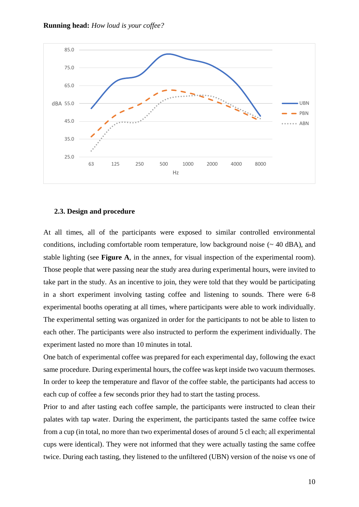



# **2.3. Design and procedure**

At all times, all of the participants were exposed to similar controlled environmental conditions, including comfortable room temperature, low background noise  $($   $\sim$  40 dBA), and stable lighting (see **Figure A**, in the annex, for visual inspection of the experimental room). Those people that were passing near the study area during experimental hours, were invited to take part in the study. As an incentive to join, they were told that they would be participating in a short experiment involving tasting coffee and listening to sounds. There were 6-8 experimental booths operating at all times, where participants were able to work individually. The experimental setting was organized in order for the participants to not be able to listen to each other. The participants were also instructed to perform the experiment individually. The experiment lasted no more than 10 minutes in total.

One batch of experimental coffee was prepared for each experimental day, following the exact same procedure. During experimental hours, the coffee was kept inside two vacuum thermoses. In order to keep the temperature and flavor of the coffee stable, the participants had access to each cup of coffee a few seconds prior they had to start the tasting process.

Prior to and after tasting each coffee sample, the participants were instructed to clean their palates with tap water. During the experiment, the participants tasted the same coffee twice from a cup (in total, no more than two experimental doses of around 5 cl each; all experimental cups were identical). They were not informed that they were actually tasting the same coffee twice. During each tasting, they listened to the unfiltered (UBN) version of the noise vs one of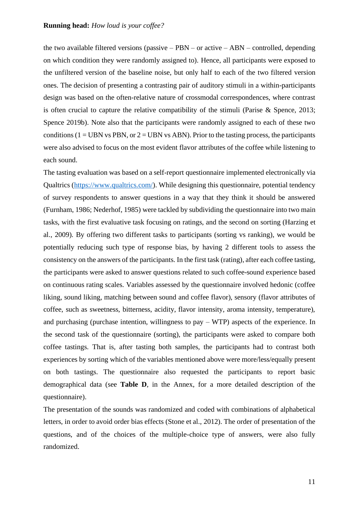the two available filtered versions (passive  $-$  PBN  $-$  or active  $-$  ABN  $-$  controlled, depending on which condition they were randomly assigned to). Hence, all participants were exposed to the unfiltered version of the baseline noise, but only half to each of the two filtered version ones. The decision of presenting a contrasting pair of auditory stimuli in a within-participants design was based on the often-relative nature of crossmodal correspondences, where contrast is often crucial to capture the relative compatibility of the stimuli (Parise & Spence, 2013; Spence 2019b). Note also that the participants were randomly assigned to each of these two conditions ( $1 = UBN$  vs PBN, or  $2 = UBN$  vs ABN). Prior to the tasting process, the participants were also advised to focus on the most evident flavor attributes of the coffee while listening to each sound.

The tasting evaluation was based on a self-report questionnaire implemented electronically via Qualtrics [\(https://www.qualtrics.com/\)](https://www.qualtrics.com/). While designing this questionnaire, potential tendency of survey respondents to answer questions in a way that they think it should be answered (Furnham, 1986; Nederhof, 1985) were tackled by subdividing the questionnaire into two main tasks, with the first evaluative task focusing on ratings, and the second on sorting (Harzing et al., 2009). By offering two different tasks to participants (sorting vs ranking), we would be potentially reducing such type of response bias, by having 2 different tools to assess the consistency on the answers of the participants. In the first task (rating), after each coffee tasting, the participants were asked to answer questions related to such coffee-sound experience based on continuous rating scales. Variables assessed by the questionnaire involved hedonic (coffee liking, sound liking, matching between sound and coffee flavor), sensory (flavor attributes of coffee, such as sweetness, bitterness, acidity, flavor intensity, aroma intensity, temperature), and purchasing (purchase intention, willingness to pay – WTP) aspects of the experience. In the second task of the questionnaire (sorting), the participants were asked to compare both coffee tastings. That is, after tasting both samples, the participants had to contrast both experiences by sorting which of the variables mentioned above were more/less/equally present on both tastings. The questionnaire also requested the participants to report basic demographical data (see **Table D**, in the Annex, for a more detailed description of the questionnaire).

The presentation of the sounds was randomized and coded with combinations of alphabetical letters, in order to avoid order bias effects (Stone et al., 2012). The order of presentation of the questions, and of the choices of the multiple-choice type of answers, were also fully randomized.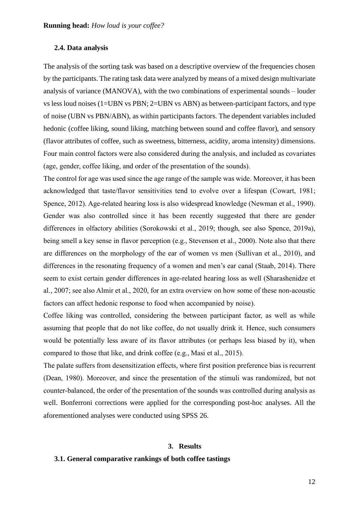# **2.4. Data analysis**

The analysis of the sorting task was based on a descriptive overview of the frequencies chosen by the participants. The rating task data were analyzed by means of a mixed design multivariate analysis of variance (MANOVA), with the two combinations of experimental sounds – louder vs less loud noises (1=UBN vs PBN; 2=UBN vs ABN) as between-participant factors, and type of noise (UBN vs PBN/ABN), as within participants factors. The dependent variables included hedonic (coffee liking, sound liking, matching between sound and coffee flavor), and sensory (flavor attributes of coffee, such as sweetness, bitterness, acidity, aroma intensity) dimensions. Four main control factors were also considered during the analysis, and included as covariates (age, gender, coffee liking, and order of the presentation of the sounds).

The control for age was used since the age range of the sample was wide. Moreover, it has been acknowledged that taste/flavor sensitivities tend to evolve over a lifespan (Cowart, 1981; Spence, 2012). Age-related hearing loss is also widespread knowledge (Newman et al., 1990). Gender was also controlled since it has been recently suggested that there are gender differences in olfactory abilities (Sorokowski et al., 2019; though, see also Spence, 2019a), being smell a key sense in flavor perception (e.g., Stevenson et al., 2000). Note also that there are differences on the morphology of the ear of women vs men (Sullivan et al., 2010), and differences in the resonating frequency of a women and men's ear canal (Staab, 2014). There seem to exist certain gender differences in age-related hearing loss as well (Sharashenidze et al., 2007; see also Almir et al., 2020, for an extra overview on how some of these non-acoustic factors can affect hedonic response to food when accompanied by noise).

Coffee liking was controlled, considering the between participant factor, as well as while assuming that people that do not like coffee, do not usually drink it. Hence, such consumers would be potentially less aware of its flavor attributes (or perhaps less biased by it), when compared to those that like, and drink coffee (e.g., Masi et al., 2015).

The palate suffers from desensitization effects, where first position preference bias is recurrent (Dean, 1980). Moreover, and since the presentation of the stimuli was randomized, but not counter-balanced, the order of the presentation of the sounds was controlled during analysis as well. Bonferroni corrections were applied for the corresponding post-hoc analyses. All the aforementioned analyses were conducted using SPSS 26.

#### **3. Results**

# **3.1. General comparative rankings of both coffee tastings**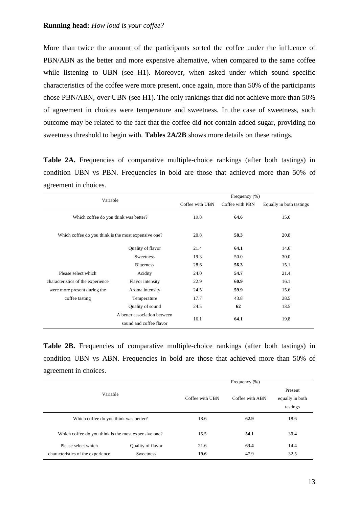More than twice the amount of the participants sorted the coffee under the influence of PBN/ABN as the better and more expensive alternative, when compared to the same coffee while listening to UBN (see H1). Moreover, when asked under which sound specific characteristics of the coffee were more present, once again, more than 50% of the participants chose PBN/ABN, over UBN (see H1). The only rankings that did not achieve more than 50% of agreement in choices were temperature and sweetness. In the case of sweetness, such outcome may be related to the fact that the coffee did not contain added sugar, providing no sweetness threshold to begin with. **Tables 2A/2B** shows more details on these ratings.

Table 2A. Frequencies of comparative multiple-choice rankings (after both tastings) in condition UBN vs PBN. Frequencies in bold are those that achieved more than 50% of agreement in choices.

| Variable                                             |                                                         |                 | Frequency (%)   |                          |
|------------------------------------------------------|---------------------------------------------------------|-----------------|-----------------|--------------------------|
|                                                      |                                                         | Coffee with UBN | Coffee with PBN | Equally in both tastings |
| Which coffee do you think was better?                |                                                         | 19.8            | 64.6            | 15.6                     |
| Which coffee do you think is the most expensive one? |                                                         | 20.8            | 58.3            | 20.8                     |
|                                                      | Quality of flavor                                       | 21.4            | 64.1            | 14.6                     |
|                                                      | Sweetness                                               | 19.3            | 50.0            | 30.0                     |
|                                                      | <b>Bitterness</b>                                       | 28.6            | 56.3            | 15.1                     |
| Please select which                                  | Acidity                                                 | 24.0            | 54.7            | 21.4                     |
| characteristics of the experience                    | Flavor intensity                                        | 22.9            | 60.9            | 16.1                     |
| were more present during the                         | Aroma intensity                                         | 24.5            | 59.9            | 15.6                     |
| coffee tasting                                       | Temperature                                             | 17.7            | 43.8            | 38.5                     |
|                                                      | Quality of sound                                        | 24.5            | 62              | 13.5                     |
|                                                      | A better association between<br>sound and coffee flavor | 16.1            | 64.1            | 19.8                     |

Table 2B. Frequencies of comparative multiple-choice rankings (after both tastings) in condition UBN vs ABN. Frequencies in bold are those that achieved more than 50% of agreement in choices.

|                                                      |                   |                 | Frequency (%)                          |      |
|------------------------------------------------------|-------------------|-----------------|----------------------------------------|------|
| Variable                                             | Coffee with UBN   | Coffee with ABN | Present<br>equally in both<br>tastings |      |
| Which coffee do you think was better?                |                   | 18.6            | 62.9                                   | 18.6 |
| Which coffee do you think is the most expensive one? | 15.5              | 54.1            | 30.4                                   |      |
| Please select which                                  | Quality of flavor | 21.6            | 63.4                                   | 14.4 |
| characteristics of the experience                    | <b>Sweetness</b>  | 19.6            | 47.9                                   | 32.5 |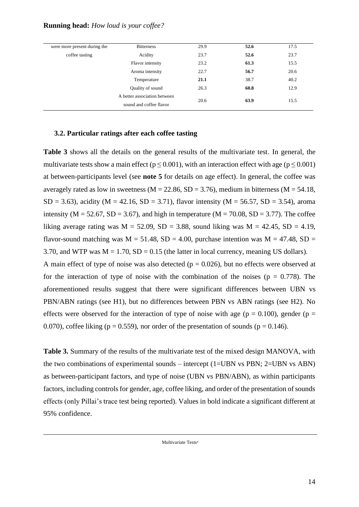| were more present during the | <b>Bitterness</b>            | 29.9 | 52.6 | 17.5 |
|------------------------------|------------------------------|------|------|------|
| coffee tasting               | Acidity                      | 23.7 | 52.6 | 23.7 |
|                              | Flavor intensity             | 23.2 | 61.3 | 15.5 |
|                              | Aroma intensity              | 22.7 | 56.7 | 20.6 |
|                              | Temperature                  | 21.1 | 38.7 | 40.2 |
|                              | Quality of sound             | 26.3 | 60.8 | 12.9 |
|                              | A better association between | 20.6 | 63.9 | 15.5 |
|                              | sound and coffee flavor      |      |      |      |

# **3.2. Particular ratings after each coffee tasting**

**Table 3** shows all the details on the general results of the multivariate test. In general, the multivariate tests show a main effect ( $p \le 0.001$ ), with an interaction effect with age ( $p \le 0.001$ ) at between-participants level (see **note 5** for details on age effect). In general, the coffee was averagely rated as low in sweetness ( $M = 22.86$ ,  $SD = 3.76$ ), medium in bitterness ( $M = 54.18$ ,  $SD = 3.63$ ), acidity (M = 42.16, SD = 3.71), flavor intensity (M = 56.57, SD = 3.54), aroma intensity ( $M = 52.67$ ,  $SD = 3.67$ ), and high in temperature ( $M = 70.08$ ,  $SD = 3.77$ ). The coffee liking average rating was  $M = 52.09$ ,  $SD = 3.88$ , sound liking was  $M = 42.45$ ,  $SD = 4.19$ , flavor-sound matching was  $M = 51.48$ ,  $SD = 4.00$ , purchase intention was  $M = 47.48$ ,  $SD =$ 3.70, and WTP was  $M = 1.70$ ,  $SD = 0.15$  (the latter in local currency, meaning US dollars). A main effect of type of noise was also detected ( $p = 0.026$ ), but no effects were observed at for the interaction of type of noise with the combination of the noises ( $p = 0.778$ ). The aforementioned results suggest that there were significant differences between UBN vs PBN/ABN ratings (see H1), but no differences between PBN vs ABN ratings (see H2). No effects were observed for the interaction of type of noise with age ( $p = 0.100$ ), gender ( $p =$ 0.070), coffee liking ( $p = 0.559$ ), nor order of the presentation of sounds ( $p = 0.146$ ).

**Table 3.** Summary of the results of the multivariate test of the mixed design MANOVA, with the two combinations of experimental sounds – intercept (1=UBN vs PBN; 2=UBN vs ABN) as between-participant factors, and type of noise (UBN vs PBN/ABN), as within participants factors, including controls for gender, age, coffee liking, and order of the presentation of sounds effects (only Pillai's trace test being reported). Values in bold indicate a significant different at 95% confidence.

Multivariate Tests<sup>a</sup>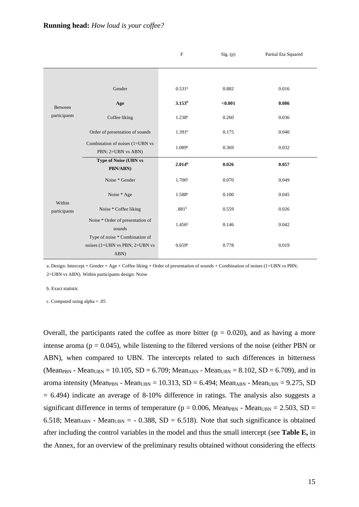|                        |                                                                          | $\mathbf F$        | Sig. (p) | Partial Eta Squared |
|------------------------|--------------------------------------------------------------------------|--------------------|----------|---------------------|
|                        |                                                                          |                    |          |                     |
|                        |                                                                          |                    |          |                     |
|                        | Gender                                                                   | 0.531 <sup>b</sup> | 0.882    | 0.016               |
| Between                | Age                                                                      | 3.153 <sup>b</sup> | < 0.001  | 0.086               |
| participants           | Coffee liking                                                            | 1.238 <sup>b</sup> | 0.260    | 0.036               |
|                        | Order of presentation of sounds                                          | 1.391 <sup>b</sup> | 0.175    | 0.040               |
|                        | Combination of noises (1=UBN vs<br>PBN; 2=UBN vs ABN)                    | 1.089 <sup>b</sup> | 0.369    | 0.032               |
|                        | <b>Type of Noise (UBN vs</b><br>PBN/ABN)                                 | 2.014 <sup>b</sup> | 0.026    | 0.057               |
|                        | Noise * Gender                                                           | 1.706 <sup>b</sup> | 0.070    | 0.049               |
|                        | Noise * Age                                                              | 1.588 <sup>b</sup> | 0.100    | 0.045               |
| Within<br>participants | Noise * Coffee liking                                                    | .881 <sup>b</sup>  | 0.559    | 0.026               |
|                        | Noise * Order of presentation of<br>sounds                               | 1.456 <sup>b</sup> | 0.146    | 0.042               |
|                        | Type of noise * Combination of<br>noises (1=UBN vs PBN; 2=UBN vs<br>ABN) | 0.659 <sup>b</sup> | 0.778    | 0.019               |

a. Design: Intercept + Gender + Age + Coffee liking + Order of presentation of sounds + Combination of noises (1=UBN vs PBN; 2=UBN vs ABN). Within participants design: Noise

b. Exact statistic

c. Computed using alpha = .05

Overall, the participants rated the coffee as more bitter ( $p = 0.020$ ), and as having a more intense aroma ( $p = 0.045$ ), while listening to the filtered versions of the noise (either PBN or ABN), when compared to UBN. The intercepts related to such differences in bitterness (Mean<sub>PBN</sub> - Mean<sub>UBN</sub> = 10.105, SD = 6.709; Mean<sub>ABN</sub> - Mean<sub>UBN</sub> = 8.102, SD = 6.709), and in aroma intensity (Mean<sub>PBN</sub> - Mean<sub>UBN</sub> = 10.313, SD = 6.494; Mean<sub>ABN</sub> - Mean<sub>UBN</sub> = 9.275, SD  $= 6.494$ ) indicate an average of 8-10% difference in ratings. The analysis also suggests a significant difference in terms of temperature ( $p = 0.006$ , Mean<sub>PBN</sub> - Mean<sub>UBN</sub> = 2.503, SD = 6.518; Mean<sub>ABN</sub> - Mean<sub>UBN</sub> =  $-$  0.388, SD = 6.518). Note that such significance is obtained after including the control variables in the model and thus the small intercept (see **Table E,** in the Annex, for an overview of the preliminary results obtained without considering the effects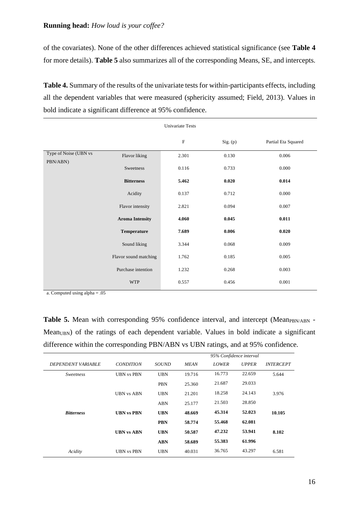of the covariates). None of the other differences achieved statistical significance (see **Table 4** for more details). **Table 5** also summarizes all of the corresponding Means, SE, and intercepts.

**Table 4.** Summary of the results of the univariate tests for within-participants effects, including all the dependent variables that were measured (sphericity assumed; Field, 2013). Values in bold indicate a significant difference at 95% confidence.

|                       |                        | Univariate Tests |          |                     |
|-----------------------|------------------------|------------------|----------|---------------------|
|                       |                        | ${\bf F}$        | Sig. (p) | Partial Eta Squared |
| Type of Noise (UBN vs | Flavor liking          | 2.301            | 0.130    | 0.006               |
| PBN/ABN)              | Sweetness              | 0.116            | 0.733    | 0.000               |
|                       | <b>Bitterness</b>      | 5.462            | 0.020    | 0.014               |
|                       | Acidity                | 0.137            | 0.712    | 0.000               |
|                       | Flavor intensity       | 2.821            | 0.094    | 0.007               |
|                       | <b>Aroma Intensity</b> | 4.060            | 0.045    | 0.011               |
|                       | Temperature            | 7.689            | 0.006    | 0.020               |
|                       | Sound liking           | 3.344            | 0.068    | 0.009               |
|                       | Flavor sound matching  | 1.762            | 0.185    | 0.005               |
|                       | Purchase intention     | 1.232            | 0.268    | 0.003               |
|                       | <b>WTP</b>             | 0.557            | 0.456    | 0.001               |

a. Computed using alpha = .05

**Table 5.** Mean with corresponding 95% confidence interval, and intercept (Mean<sub>PBN/ABN</sub> -Mean<sub>UBN</sub>) of the ratings of each dependent variable. Values in bold indicate a significant difference within the corresponding PBN/ABN vs UBN ratings, and at 95% confidence.

|                           |                   |            |             | 95% Confidence interval |              |                         |
|---------------------------|-------------------|------------|-------------|-------------------------|--------------|-------------------------|
| <b>DEPENDENT VARIABLE</b> | <b>CONDITION</b>  | SOUND      | <b>MEAN</b> | <b>LOWER</b>            | <b>UPPER</b> | <i><b>INTERCEPT</b></i> |
| <b>Sweetness</b>          | <b>UBN vs PBN</b> | <b>UBN</b> | 19.716      | 16.773                  | 22.659       | 5.644                   |
|                           |                   | <b>PBN</b> | 25.360      | 21.687                  | 29.033       |                         |
|                           | <b>UBN vs ABN</b> | UBN        | 21.201      | 18.258                  | 24.143       | 3.976                   |
|                           |                   | <b>ABN</b> | 25.177      | 21.503                  | 28.850       |                         |
| <b>Bitterness</b>         | <b>UBN vs PBN</b> | <b>UBN</b> | 48.669      | 45.314                  | 52.023       | 10.105                  |
|                           |                   | <b>PBN</b> | 58.774      | 55.468                  | 62.081       |                         |
|                           | <b>UBN vs ABN</b> | <b>UBN</b> | 50.587      | 47.232                  | 53.941       | 8.102                   |
|                           |                   | <b>ABN</b> | 58.689      | 55.383                  | 61.996       |                         |
| Acidity                   | <b>UBN vs PBN</b> | <b>UBN</b> | 40.031      | 36.765                  | 43.297       | 6.581                   |
|                           |                   |            |             |                         |              |                         |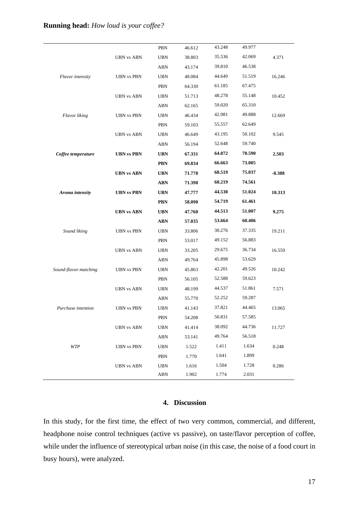|                       |                   | PBN        | 46.612 | 43.248 | 49.977 |          |
|-----------------------|-------------------|------------|--------|--------|--------|----------|
|                       | <b>UBN</b> vs ABN | <b>UBN</b> | 38.803 | 35.536 | 42.069 | 4.371    |
|                       |                   | <b>ABN</b> | 43.174 | 39.810 | 46.538 |          |
| Flavor intensity      | <b>UBN</b> vs PBN | <b>UBN</b> | 48.084 | 44.649 | 51.519 | 16.246   |
|                       |                   | PBN        | 64.330 | 61.185 | 67.475 |          |
|                       | <b>UBN</b> vs ABN | <b>UBN</b> | 51.713 | 48.278 | 55.148 | 10.452   |
|                       |                   | <b>ABN</b> | 62.165 | 59.020 | 65.310 |          |
| Flavor liking         | <b>UBN vs PBN</b> | <b>UBN</b> | 46.434 | 42.981 | 49.888 | 12.669   |
|                       |                   | PBN        | 59.103 | 55.557 | 62.649 |          |
|                       | <b>UBN</b> vs ABN | <b>UBN</b> | 46.649 | 43.195 | 50.102 | 9.545    |
|                       |                   | <b>ABN</b> | 56.194 | 52.648 | 59.740 |          |
| Coffee temperature    | <b>UBN vs PBN</b> | <b>UBN</b> | 67.331 | 64.072 | 70.590 | 2.503    |
|                       |                   | <b>PBN</b> | 69.834 | 66.663 | 73.005 |          |
|                       | <b>UBN</b> vs ABN | <b>UBN</b> | 71.778 | 68.519 | 75.037 | $-0.388$ |
|                       |                   | <b>ABN</b> | 71.390 | 68.219 | 74.561 |          |
| Aroma intensity       | <b>UBN vs PBN</b> | <b>UBN</b> | 47.777 | 44.530 | 51.024 | 10.313   |
|                       |                   | <b>PBN</b> | 58.090 | 54.719 | 61.461 |          |
|                       | <b>UBN</b> vs ABN | <b>UBN</b> | 47.760 | 44.513 | 51.007 | 9.275    |
|                       |                   | <b>ABN</b> | 57.035 | 53.664 | 60.406 |          |
| Sound liking          | <b>UBN</b> vs PBN | <b>UBN</b> | 33.806 | 30.276 | 37.335 | 19.211   |
|                       |                   | PBN        | 53.017 | 49.152 | 56.883 |          |
|                       |                   |            |        |        |        |          |
|                       | <b>UBN</b> vs ABN | <b>UBN</b> | 33.205 | 29.675 | 36.734 | 16.559   |
|                       |                   | <b>ABN</b> | 49.764 | 45.898 | 53.629 |          |
| Sound-flavor matching | <b>UBN vs PBN</b> | <b>UBN</b> | 45.863 | 42.201 | 49.526 | 10.242   |
|                       |                   | <b>PBN</b> | 56.105 | 52.588 | 59.623 |          |
|                       | <b>UBN vs ABN</b> | <b>UBN</b> | 48.199 | 44.537 | 51.861 | 7.571    |
|                       |                   | <b>ABN</b> | 55.770 | 52.252 | 59.287 |          |
| Purchase intention    | <b>UBN</b> vs PBN | <b>UBN</b> | 41.143 | 37.821 | 44.465 | 13.065   |
|                       |                   | PBN        | 54.208 | 50.831 | 57.585 |          |
|                       | <b>UBN</b> vs ABN | <b>UBN</b> | 41.414 | 38.092 | 44.736 | 11.727   |
|                       |                   | <b>ABN</b> | 53.141 | 49.764 | 56.518 |          |
| <b>WTP</b>            | <b>UBN vs PBN</b> | <b>UBN</b> | 1.522  | 1.411  | 1.634  | 0.248    |
|                       |                   | PBN        | 1.770  | 1.641  | 1.899  |          |
|                       | <b>UBN</b> vs ABN | UBN        | 1.616  | 1.504  | 1.728  | 0.286    |

# **4. Discussion**

In this study, for the first time, the effect of two very common, commercial, and different, headphone noise control techniques (active vs passive), on taste/flavor perception of coffee, while under the influence of stereotypical urban noise (in this case, the noise of a food court in busy hours), were analyzed.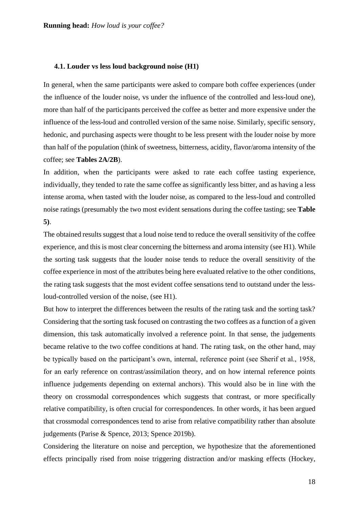#### **4.1. Louder vs less loud background noise (H1)**

In general, when the same participants were asked to compare both coffee experiences (under the influence of the louder noise, vs under the influence of the controlled and less-loud one), more than half of the participants perceived the coffee as better and more expensive under the influence of the less-loud and controlled version of the same noise. Similarly, specific sensory, hedonic, and purchasing aspects were thought to be less present with the louder noise by more than half of the population (think of sweetness, bitterness, acidity, flavor/aroma intensity of the coffee; see **Tables 2A/2B**).

In addition, when the participants were asked to rate each coffee tasting experience, individually, they tended to rate the same coffee as significantly less bitter, and as having a less intense aroma, when tasted with the louder noise, as compared to the less-loud and controlled noise ratings (presumably the two most evident sensations during the coffee tasting; see **Table 5)**.

The obtained results suggest that a loud noise tend to reduce the overall sensitivity of the coffee experience, and this is most clear concerning the bitterness and aroma intensity (see H1). While the sorting task suggests that the louder noise tends to reduce the overall sensitivity of the coffee experience in most of the attributes being here evaluated relative to the other conditions, the rating task suggests that the most evident coffee sensations tend to outstand under the lessloud-controlled version of the noise, (see H1).

But how to interpret the differences between the results of the rating task and the sorting task? Considering that the sorting task focused on contrasting the two coffees as a function of a given dimension, this task automatically involved a reference point. In that sense, the judgements became relative to the two coffee conditions at hand. The rating task, on the other hand, may be typically based on the participant's own, internal, reference point (see Sherif et al., 1958, for an early reference on contrast/assimilation theory, and on how internal reference points influence judgements depending on external anchors). This would also be in line with the theory on crossmodal correspondences which suggests that contrast, or more specifically relative compatibility, is often crucial for correspondences. In other words, it has been argued that crossmodal correspondences tend to arise from relative compatibility rather than absolute judgements (Parise & Spence, 2013; Spence 2019b).

Considering the literature on noise and perception, we hypothesize that the aforementioned effects principally rised from noise triggering distraction and/or masking effects (Hockey,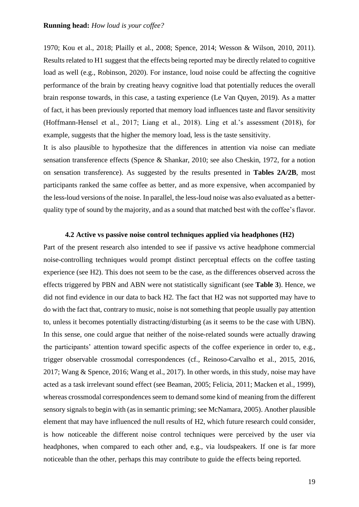1970; Kou et al., 2018; Plailly et al., 2008; Spence, 2014; Wesson & Wilson, 2010, 2011). Results related to H1 suggest that the effects being reported may be directly related to cognitive load as well (e.g., Robinson, 2020). For instance, loud noise could be affecting the cognitive performance of the brain by creating heavy cognitive load that potentially reduces the overall brain response towards, in this case, a tasting experience (Le Van Quyen, 2019). As a matter of fact, it has been previously reported that memory load influences taste and flavor sensitivity (Hoffmann-Hensel et al., 2017; Liang et al., 2018). Ling et al.'s assessment (2018), for example, suggests that the higher the memory load, less is the taste sensitivity.

It is also plausible to hypothesize that the differences in attention via noise can mediate sensation transference effects (Spence & Shankar, 2010; see also Cheskin, 1972, for a notion on sensation transference). As suggested by the results presented in **Tables 2A/2B**, most participants ranked the same coffee as better, and as more expensive, when accompanied by the less-loud versions of the noise. In parallel, the less-loud noise was also evaluated as a betterquality type of sound by the majority, and as a sound that matched best with the coffee's flavor.

# **4.2 Active vs passive noise control techniques applied via headphones (H2)**

Part of the present research also intended to see if passive vs active headphone commercial noise-controlling techniques would prompt distinct perceptual effects on the coffee tasting experience (see H2). This does not seem to be the case, as the differences observed across the effects triggered by PBN and ABN were not statistically significant (see **Table 3**). Hence, we did not find evidence in our data to back H2. The fact that H2 was not supported may have to do with the fact that, contrary to music, noise is notsomething that people usually pay attention to, unless it becomes potentially distracting/disturbing (as it seems to be the case with UBN). In this sense, one could argue that neither of the noise-related sounds were actually drawing the participants' attention toward specific aspects of the coffee experience in order to, e.g., trigger observable crossmodal correspondences (cf., Reinoso-Carvalho et al., 2015, 2016, 2017; Wang & Spence, 2016; Wang et al., 2017). In other words, in this study, noise may have acted as a task irrelevant sound effect (see Beaman, 2005; Felicia, 2011; Macken et al., 1999), whereas crossmodal correspondences seem to demand some kind of meaning from the different sensory signals to begin with (as in semantic priming; see McNamara, 2005). Another plausible element that may have influenced the null results of H2, which future research could consider, is how noticeable the different noise control techniques were perceived by the user via headphones, when compared to each other and, e.g., via loudspeakers. If one is far more noticeable than the other, perhaps this may contribute to guide the effects being reported.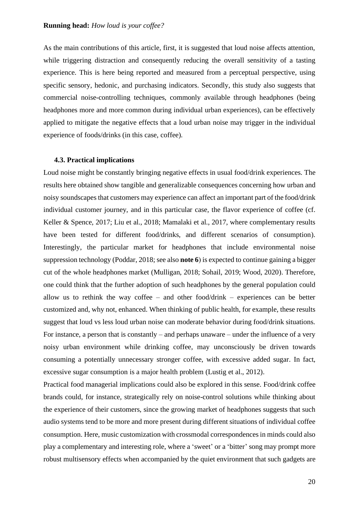As the main contributions of this article, first, it is suggested that loud noise affects attention, while triggering distraction and consequently reducing the overall sensitivity of a tasting experience. This is here being reported and measured from a perceptual perspective, using specific sensory, hedonic, and purchasing indicators. Secondly, this study also suggests that commercial noise-controlling techniques, commonly available through headphones (being headphones more and more common during individual urban experiences), can be effectively applied to mitigate the negative effects that a loud urban noise may trigger in the individual experience of foods/drinks (in this case, coffee).

#### **4.3. Practical implications**

Loud noise might be constantly bringing negative effects in usual food/drink experiences. The results here obtained show tangible and generalizable consequences concerning how urban and noisy soundscapes that customers may experience can affect an important part of the food/drink individual customer journey, and in this particular case, the flavor experience of coffee (cf. Keller & Spence, 2017; Liu et al., 2018; Mamalaki et al., 2017, where complementary results have been tested for different food/drinks, and different scenarios of consumption). Interestingly, the particular market for headphones that include environmental noise suppression technology (Poddar, 2018; see also **note 6**) is expected to continue gaining a bigger cut of the whole headphones market (Mulligan, 2018; Sohail, 2019; Wood, 2020). Therefore, one could think that the further adoption of such headphones by the general population could allow us to rethink the way coffee – and other food/drink – experiences can be better customized and, why not, enhanced. When thinking of public health, for example, these results suggest that loud vs less loud urban noise can moderate behavior during food/drink situations. For instance, a person that is constantly – and perhaps unaware – under the influence of a very noisy urban environment while drinking coffee, may unconsciously be driven towards consuming a potentially unnecessary stronger coffee, with excessive added sugar. In fact, excessive sugar consumption is a major health problem (Lustig et al., 2012).

Practical food managerial implications could also be explored in this sense. Food/drink coffee brands could, for instance, strategically rely on noise-control solutions while thinking about the experience of their customers, since the growing market of headphones suggests that such audio systems tend to be more and more present during different situations of individual coffee consumption. Here, music customization with crossmodal correspondences in minds could also play a complementary and interesting role, where a 'sweet' or a 'bitter' song may prompt more robust multisensory effects when accompanied by the quiet environment that such gadgets are

20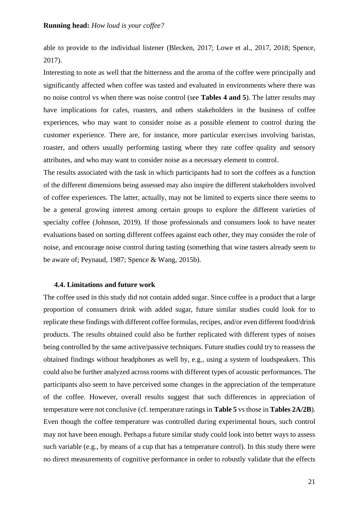able to provide to the individual listener (Blecken, 2017; Lowe et al., 2017, 2018; Spence, 2017).

Interesting to note as well that the bitterness and the aroma of the coffee were principally and significantly affected when coffee was tasted and evaluated in environments where there was no noise control vs when there was noise control (see **Tables 4 and 5**). The latter results may have implications for cafes, roasters, and others stakeholders in the business of coffee experiences, who may want to consider noise as a possible element to control during the customer experience. There are, for instance, more particular exercises involving baristas, roaster, and others usually performing tasting where they rate coffee quality and sensory attributes, and who may want to consider noise as a necessary element to control.

The results associated with the task in which participants had to sort the coffees as a function of the different dimensions being assessed may also inspire the different stakeholders involved of coffee experiences. The latter, actually, may not be limited to experts since there seems to be a general growing interest among certain groups to explore the different varieties of specialty coffee (Johnson, 2019). If those professionals and consumers look to have neater evaluations based on sorting different coffees against each other, they may consider the role of noise, and encourage noise control during tasting (something that wine tasters already seem to be aware of; Peynaud, 1987; Spence & Wang, 2015b).

#### **4.4. Limitations and future work**

The coffee used in this study did not contain added sugar. Since coffee is a product that a large proportion of consumers drink with added sugar, future similar studies could look for to replicate these findings with different coffee formulas, recipes, and/or even different food/drink products. The results obtained could also be further replicated with different types of noises being controlled by the same active/passive techniques. Future studies could try to reassess the obtained findings without headphones as well by, e.g., using a system of loudspeakers. This could also be further analyzed across rooms with different types of acoustic performances. The participants also seem to have perceived some changes in the appreciation of the temperature of the coffee. However, overall results suggest that such differences in appreciation of temperature were not conclusive (cf. temperature ratings in **Table 5** vs those in **Tables 2A/2B**). Even though the coffee temperature was controlled during experimental hours, such control may not have been enough. Perhaps a future similar study could look into better ways to assess such variable (e.g., by means of a cup that has a temperature control). In this study there were no direct measurements of cognitive performance in order to robustly validate that the effects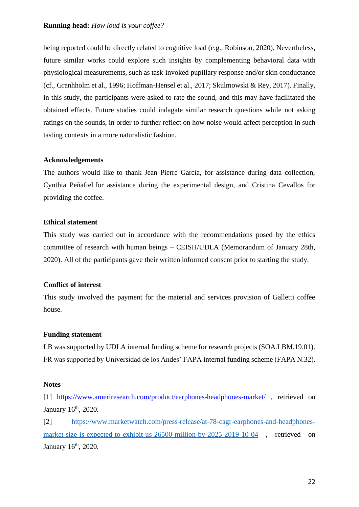being reported could be directly related to cognitive load (e.g., Robinson, 2020). Nevertheless, future similar works could explore such insights by complementing behavioral data with physiological measurements, such as task-invoked pupillary response and/or skin conductance (cf., Granhholm et al., 1996; Hoffman-Hensel et al., 2017; Skulmowski & Rey, 2017). Finally, in this study, the participants were asked to rate the sound, and this may have facilitated the obtained effects. Future studies could indagate similar research questions while not asking ratings on the sounds, in order to further reflect on how noise would affect perception in such tasting contexts in a more naturalistic fashion.

# **Acknowledgements**

The authors would like to thank Jean Pierre García, for assistance during data collection, Cynthia Peñafiel for assistance during the experimental design, and Cristina Cevallos for providing the coffee.

# **Ethical statement**

This study was carried out in accordance with the recommendations posed by the ethics committee of research with human beings – CEISH/UDLA (Memorandum of January 28th, 2020). All of the participants gave their written informed consent prior to starting the study.

# **Conflict of interest**

This study involved the payment for the material and services provision of Galletti coffee house.

# **Funding statement**

LB was supported by UDLA internal funding scheme for research projects (SOA.LBM.19.01). FR was supported by Universidad de los Andes' FAPA internal funding scheme (FAPA N.32).

# **Notes**

[1] <https://www.ameriresearch.com/product/earphones-headphones-market/> , retrieved on January 16<sup>th</sup>, 2020.

[2] [https://www.marketwatch.com/press-release/at-78-cagr-earphones-and-headphones](https://www.marketwatch.com/press-release/at-78-cagr-earphones-and-headphones-market-size-is-expected-to-exhibit-us-26500-million-by-2025-2019-10-04)[market-size-is-expected-to-exhibit-us-26500-million-by-2025-2019-10-04](https://www.marketwatch.com/press-release/at-78-cagr-earphones-and-headphones-market-size-is-expected-to-exhibit-us-26500-million-by-2025-2019-10-04) , retrieved on January 16<sup>th</sup>, 2020.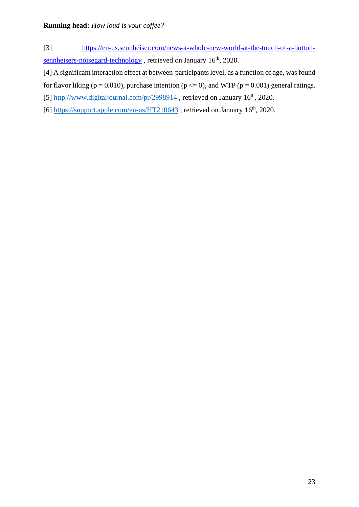- [3] [https://en-us.sennheiser.com/news-a-whole-new-world-at-the-touch-of-a-button](https://en-us.sennheiser.com/news-a-whole-new-world-at-the-touch-of-a-button-sennheisers-noisegard-technology)[sennheisers-noisegard-technology](https://en-us.sennheiser.com/news-a-whole-new-world-at-the-touch-of-a-button-sennheisers-noisegard-technology), retrieved on January 16<sup>th</sup>, 2020.
- [4] A significant interaction effect at between-participants level, as a function of age, was found for flavor liking ( $p = 0.010$ ), purchase intention ( $p \le 0$ ), and WTP ( $p = 0.001$ ) general ratings.
- [5]  $\frac{http://www.digital journal.com/pr/2998914}{http://www.digitaljournal.com/pr/2998914}$ , retrieved on January 16<sup>th</sup>, 2020.
- [6]<https://support.apple.com/en-us/HT210643>, retrieved on January  $16<sup>th</sup>$ , 2020.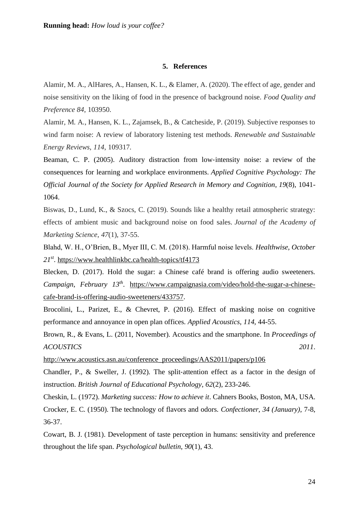#### **5. References**

Alamir, M. A., AlHares, A., Hansen, K. L., & Elamer, A. (2020). The effect of age, gender and noise sensitivity on the liking of food in the presence of background noise. *Food Quality and Preference 84*, 103950.

Alamir, M. A., Hansen, K. L., Zajamsek, B., & Catcheside, P. (2019). Subjective responses to wind farm noise: A review of laboratory listening test methods. *Renewable and Sustainable Energy Reviews*, *114*, 109317.

Beaman, C. P. (2005). Auditory distraction from low-intensity noise: a review of the consequences for learning and workplace environments. *Applied Cognitive Psychology: The Official Journal of the Society for Applied Research in Memory and Cognition*, *19*(8), 1041- 1064.

Biswas, D., Lund, K., & Szocs, C. (2019). Sounds like a healthy retail atmospheric strategy: effects of ambient music and background noise on food sales. *Journal of the Academy of Marketing Science*, *47*(1), 37-55.

Blahd, W. H., O'Brien, B., Myer III, C. M. (2018). Harmful noise levels. *Healthwise, October 21st* . <https://www.healthlinkbc.ca/health-topics/tf4173>

Blecken, D. (2017). Hold the sugar: a Chinese café brand is offering audio sweeteners. *Campaign*, *February 13th .* [https://www.campaignasia.com/video/hold-the-sugar-a-chinese](https://www.campaignasia.com/video/hold-the-sugar-a-chinese-cafe-brand-is-offering-audio-sweeteners/433757)[cafe-brand-is-offering-audio-sweeteners/433757.](https://www.campaignasia.com/video/hold-the-sugar-a-chinese-cafe-brand-is-offering-audio-sweeteners/433757)

Brocolini, L., Parizet, E., & Chevret, P. (2016). Effect of masking noise on cognitive performance and annoyance in open plan offices. *Applied Acoustics*, *114*, 44-55.

Brown, R., & Evans, L. (2011, November). Acoustics and the smartphone. In *Proceedings of ACOUSTICS 2011*.

[http://www.acoustics.asn.au/conference\\_proceedings/AAS2011/papers/p106](http://www.acoustics.asn.au/conference_proceedings/AAS2011/papers/p106)

Chandler, P., & Sweller, J. (1992). The split‐attention effect as a factor in the design of instruction. *British Journal of Educational Psychology*, *62*(2), 233-246.

Cheskin, L. (1972). *Marketing success: How to achieve it*. Cahners Books, Boston, MA, USA. Crocker, E. C. (1950). The technology of flavors and odors. *Confectioner*, *34 (January)*, 7-8, 36-37.

Cowart, B. J. (1981). Development of taste perception in humans: sensitivity and preference throughout the life span. *Psychological bulletin*, *90*(1), 43.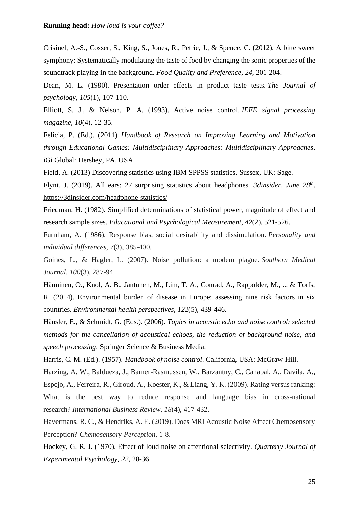Crisinel, A.-S., Cosser, S., King, S., Jones, R., Petrie, J., & Spence, C. (2012). A bittersweet symphony: Systematically modulating the taste of food by changing the sonic properties of the soundtrack playing in the background. *Food Quality and Preference*, *24*, 201-204.

Dean, M. L. (1980). Presentation order effects in product taste tests. *The Journal of psychology*, *105*(1), 107-110.

Elliott, S. J., & Nelson, P. A. (1993). Active noise control. *IEEE signal processing magazine*, *10*(4), 12-35.

Felicia, P. (Ed.). (2011). *Handbook of Research on Improving Learning and Motivation through Educational Games: Multidisciplinary Approaches: Multidisciplinary Approaches*. iGi Global: Hershey, PA, USA.

Field, A. (2013) Discovering statistics using IBM SPPSS statistics. Sussex, UK: Sage.

Flynt, J. (2019). All ears: 27 surprising statistics about headphones. *3dinsider, June 28th* . <https://3dinsider.com/headphone-statistics/>

Friedman, H. (1982). Simplified determinations of statistical power, magnitude of effect and research sample sizes. *Educational and Psychological Measurement*, *42*(2), 521-526.

Furnham, A. (1986). Response bias, social desirability and dissimulation. *Personality and individual differences*, *7*(3), 385-400.

Goines, L., & Hagler, L. (2007). Noise pollution: a modem plague. *Southern Medical Journal*, *100*(3), 287-94.

Hänninen, O., Knol, A. B., Jantunen, M., Lim, T. A., Conrad, A., Rappolder, M., ... & Torfs, R. (2014). Environmental burden of disease in Europe: assessing nine risk factors in six countries. *Environmental health perspectives*, *122*(5), 439-446.

Hänsler, E., & Schmidt, G. (Eds.). (2006). *Topics in acoustic echo and noise control: selected methods for the cancellation of acoustical echoes, the reduction of background noise, and speech processing*. Springer Science & Business Media.

Harris, C. M. (Ed.). (1957). *Handbook of noise control*. California, USA: McGraw-Hill.

Harzing, A. W., Baldueza, J., Barner-Rasmussen, W., Barzantny, C., Canabal, A., Davila, A., Espejo, A., Ferreira, R., Giroud, A., Koester, K., & Liang, Y. K. (2009). Rating versus ranking: What is the best way to reduce response and language bias in cross-national research? *International Business Review*, *18*(4), 417-432.

Havermans, R. C., & Hendriks, A. E. (2019). Does MRI Acoustic Noise Affect Chemosensory Perception? *Chemosensory Perception*, 1-8.

Hockey, G. R. J. (1970). Effect of loud noise on attentional selectivity. *Quarterly Journal of Experimental Psychology*, *22,* 28-36.

25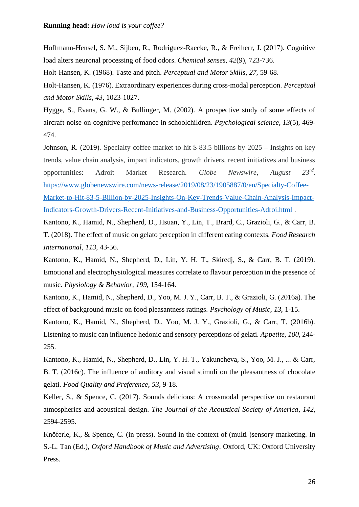Hoffmann-Hensel, S. M., Sijben, R., Rodriguez-Raecke, R., & Freiherr, J. (2017). Cognitive load alters neuronal processing of food odors. *Chemical senses*, *42*(9), 723-736.

Holt-Hansen, K. (1968). Taste and pitch. *Perceptual and Motor Skills*, *27*, 59-68.

Holt-Hansen, K. (1976). Extraordinary experiences during cross-modal perception. *Perceptual and Motor Skills*, *43*, 1023-1027.

Hygge, S., Evans, G. W., & Bullinger, M. (2002). A prospective study of some effects of aircraft noise on cognitive performance in schoolchildren. *Psychological science*, *13*(5), 469- 474.

Johnson, R. (2019). Specialty coffee market to hit \$ 83.5 billions by 2025 – Insights on key trends, value chain analysis, impact indicators, growth drivers, recent initiatives and business opportunities: Adroit Market Research. *Globe Newswire*, August  $23^{rd}$ . [https://www.globenewswire.com/news-release/2019/08/23/1905887/0/en/Specialty-Coffee-](https://www.globenewswire.com/news-release/2019/08/23/1905887/0/en/Specialty-Coffee-Market-to-Hit-83-5-Billion-by-2025-Insights-On-Key-Trends-Value-Chain-Analysis-Impact-Indicators-Growth-Drivers-Recent-Initiatives-and-Business-Opportunities-Adroi.html)[Market-to-Hit-83-5-Billion-by-2025-Insights-On-Key-Trends-Value-Chain-Analysis-Impact-](https://www.globenewswire.com/news-release/2019/08/23/1905887/0/en/Specialty-Coffee-Market-to-Hit-83-5-Billion-by-2025-Insights-On-Key-Trends-Value-Chain-Analysis-Impact-Indicators-Growth-Drivers-Recent-Initiatives-and-Business-Opportunities-Adroi.html)

[Indicators-Growth-Drivers-Recent-Initiatives-and-Business-Opportunities-Adroi.html](https://www.globenewswire.com/news-release/2019/08/23/1905887/0/en/Specialty-Coffee-Market-to-Hit-83-5-Billion-by-2025-Insights-On-Key-Trends-Value-Chain-Analysis-Impact-Indicators-Growth-Drivers-Recent-Initiatives-and-Business-Opportunities-Adroi.html) .

Kantono, K., Hamid, N., Shepherd, D., Hsuan, Y., Lin, T., Brard, C., Grazioli, G., & Carr, B. T. (2018). The effect of music on gelato perception in different eating contexts. *Food Research International*, *113*, 43-56.

Kantono, K., Hamid, N., Shepherd, D., Lin, Y. H. T., Skiredj, S., & Carr, B. T. (2019). Emotional and electrophysiological measures correlate to flavour perception in the presence of music. *Physiology & Behavior, 199,* 154-164.

Kantono, K., Hamid, N., Shepherd, D., Yoo, M. J. Y., Carr, B. T., & Grazioli, G. (2016a). The effect of background music on food pleasantness ratings. *Psychology of Music*, *13*, 1-15.

Kantono, K., Hamid, N., Shepherd, D., Yoo, M. J. Y., Grazioli, G., & Carr, T. (2016b). Listening to music can influence hedonic and sensory perceptions of gelati. *Appetite, 100*, 244- 255.

Kantono, K., Hamid, N., Shepherd, D., Lin, Y. H. T., Yakuncheva, S., Yoo, M. J., ... & Carr, B. T. (2016c). The influence of auditory and visual stimuli on the pleasantness of chocolate gelati. *Food Quality and Preference*, *53*, 9-18.

Keller, S., & Spence, C. (2017). Sounds delicious: A crossmodal perspective on restaurant atmospherics and acoustical design. *The Journal of the Acoustical Society of America*, *142*, 2594-2595.

Knöferle, K., & Spence, C. (in press). Sound in the context of (multi-)sensory marketing. In S.-L. Tan (Ed.), *Oxford Handbook of Music and Advertising*. Oxford, UK: Oxford University Press.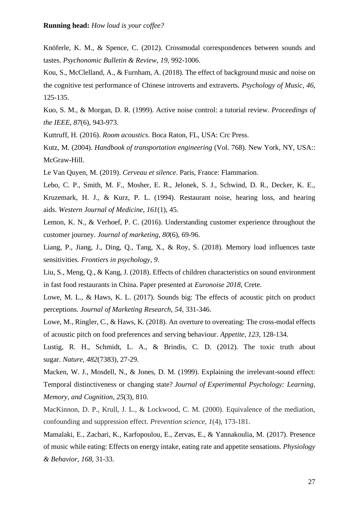Knöferle, K. M., & Spence, C. (2012). Crossmodal correspondences between sounds and tastes. *Psychonomic Bulletin & Review, 19*, 992-1006.

Kou, S., McClelland, A., & Furnham, A. (2018). The effect of background music and noise on the cognitive test performance of Chinese introverts and extraverts. *Psychology of Music*, *46*, 125-135.

Kuo, S. M., & Morgan, D. R. (1999). Active noise control: a tutorial review. *Proceedings of the IEEE*, *87*(6), 943-973.

Kuttruff, H. (2016). *Room acoustics*. Boca Raton, FL, USA: Crc Press.

Kutz, M. (2004). *Handbook of transportation engineering* (Vol. 768). New York, NY, USA:: McGraw-Hill.

Le Van Quyen, M. (2019). *Cerveau et silence*. Paris, France: Flammarion.

Lebo, C. P., Smith, M. F., Mosher, E. R., Jelonek, S. J., Schwind, D. R., Decker, K. E., Kruzemark, H. J., & Kurz, P. L. (1994). Restaurant noise, hearing loss, and hearing aids. *Western Journal of Medicine*, *161*(1), 45.

Lemon, K. N., & Verhoef, P. C. (2016). Understanding customer experience throughout the customer journey. *Journal of marketing*, *80*(6), 69-96.

Liang, P., Jiang, J., Ding, Q., Tang, X., & Roy, S. (2018). Memory load influences taste sensitivities. *Frontiers in psychology*, *9*.

Liu, S., Meng, Q., & Kang, J. (2018). Effects of children characteristics on sound environment in fast food restaurants in China. Paper presented at *Euronoise 2018*, Crete.

Lowe, M. L., & Haws, K. L. (2017). Sounds big: The effects of acoustic pitch on product perceptions. *Journal of Marketing Research*, *54*, 331-346.

Lowe, M., Ringler, C., & Haws, K. (2018). An overture to overeating: The cross-modal effects of acoustic pitch on food preferences and serving behaviour. *Appetite*, *123*, 128-134.

Lustig, R. H., Schmidt, L. A., & Brindis, C. D. (2012). The toxic truth about sugar. *Nature*, *482*(7383), 27-29.

Macken, W. J., Mosdell, N., & Jones, D. M. (1999). Explaining the irrelevant-sound effect: Temporal distinctiveness or changing state? *Journal of Experimental Psychology: Learning, Memory, and Cognition*, *25*(3), 810.

MacKinnon, D. P., Krull, J. L., & Lockwood, C. M. (2000). Equivalence of the mediation, confounding and suppression effect. *Prevention science*, *1*(4), 173-181.

Mamalaki, E., Zachari, K., Karfopoulou, E., Zervas, E., & Yannakoulia, M. (2017). Presence of music while eating: Effects on energy intake, eating rate and appetite sensations. *Physiology & Behavior*, *168*, 31-33.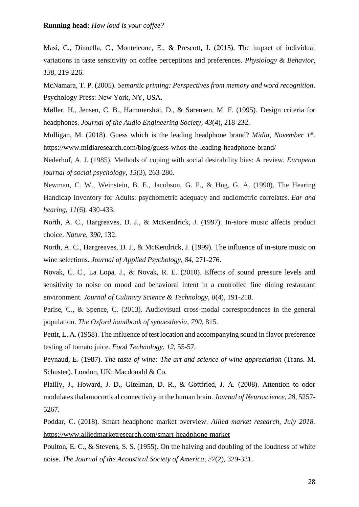Masi, C., Dinnella, C., Monteleone, E., & Prescott, J. (2015). The impact of individual variations in taste sensitivity on coffee perceptions and preferences. *Physiology & Behavior*, *138*, 219-226.

McNamara, T. P. (2005). *Semantic priming: Perspectives from memory and word recognition*. Psychology Press: New York, NY, USA.

Møller, H., Jensen, C. B., Hammershøi, D., & Sørensen, M. F. (1995). Design criteria for headphones. *Journal of the Audio Engineering Society*, *43*(4), 218-232.

Mulligan, M. (2018). Guess which is the leading headphone brand? *Midia, November 1<sup>st</sup>*. <https://www.midiaresearch.com/blog/guess-whos-the-leading-headphone-brand/>

Nederhof, A. J. (1985). Methods of coping with social desirability bias: A review. *European journal of social psychology*, *15*(3), 263-280.

Newman, C. W., Weinstein, B. E., Jacobson, G. P., & Hug, G. A. (1990). The Hearing Handicap Inventory for Adults: psychometric adequacy and audiometric correlates. *Ear and hearing*, *11*(6), 430-433.

North, A. C., Hargreaves, D. J., & McKendrick, J. (1997). In-store music affects product choice. *Nature*, *390*, 132.

North, A. C., Hargreaves, D. J., & McKendrick, J. (1999). The influence of in-store music on wine selections. *Journal of Applied Psychology*, *84*, 271-276.

Novak, C. C., La Lopa, J., & Novak, R. E. (2010). Effects of sound pressure levels and sensitivity to noise on mood and behavioral intent in a controlled fine dining restaurant environment. *Journal of Culinary Science & Technology*, *8*(4), 191-218.

Parise, C., & Spence, C. (2013). Audiovisual cross-modal correspondences in the general population. *The Oxford handbook of synaesthesia*, *790*, 815.

Pettit, L. A. (1958). The influence of test location and accompanying sound in flavor preference testing of tomato juice. *Food Technology*, *12*, 55-57.

Peynaud, E. (1987). *The taste of wine: The art and science of wine appreciation* (Trans. M. Schuster). London, UK: Macdonald & Co.

Plailly, J., Howard, J. D., Gitelman, D. R., & Gottfried, J. A. (2008). Attention to odor modulates thalamocortical connectivity in the human brain. *Journal of Neuroscience*, *28*, 5257- 5267.

Poddar, C. (2018). Smart headphone market overview. *Allied market research, July 2018.* <https://www.alliedmarketresearch.com/smart-headphone-market>

Poulton, E. C., & Stevens, S. S. (1955). On the halving and doubling of the loudness of white noise. *The Journal of the Acoustical Society of America*, *27*(2), 329-331.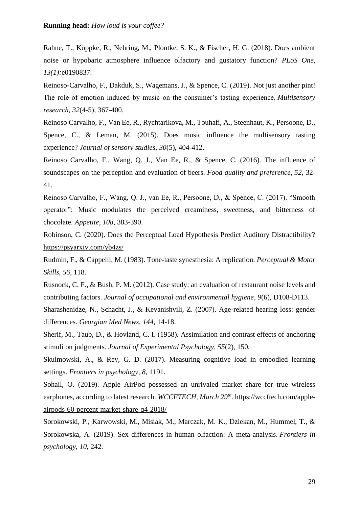Rahne, T., Köppke, R., Nehring, M., Plontke, S. K., & Fischer, H. G. (2018). Does ambient noise or hypobaric atmosphere influence olfactory and gustatory function? *PLoS One*, *13(1):*e0190837.

Reinoso-Carvalho, F., Dakduk, S., Wagemans, J., & Spence, C. (2019). Not just another pint! The role of emotion induced by music on the consumer's tasting experience. *Multisensory research*, *32*(4-5), 367-400.

Reinoso Carvalho, F., Van Ee, R., Rychtarikova, M., Touhafi, A., Steenhaut, K., Persoone, D., Spence, C., & Leman, M. (2015). Does music influence the multisensory tasting experience? *Journal of sensory studies*, *30*(5), 404-412.

Reinoso Carvalho, F., Wang, Q. J., Van Ee, R., & Spence, C. (2016). The influence of soundscapes on the perception and evaluation of beers. *Food quality and preference*, *52*, 32- 41.

Reinoso Carvalho, F., Wang, Q. J., van Ee, R., Persoone, D., & Spence, C. (2017). "Smooth operator": Music modulates the perceived creaminess, sweetness, and bitterness of chocolate. *Appetite*, *108*, 383-390.

Robinson, C. (2020). Does the Perceptual Load Hypothesis Predict Auditory Distractibility? <https://psyarxiv.com/yb4zs/>

Rudmin, F., & Cappelli, M. (1983). Tone-taste synesthesia: A replication. *Perceptual & Motor Skills, 56*, 118.

Rusnock, C. F., & Bush, P. M. (2012). Case study: an evaluation of restaurant noise levels and contributing factors. *Journal of occupational and environmental hygiene*, *9*(6), D108-D113.

Sharashenidze, N., Schacht, J., & Kevanishvili, Z. (2007). Age-related hearing loss: gender differences. *Georgian Med News*, *144*, 14-18.

Sherif, M., Taub, D., & Hovland, C. I. (1958). Assimilation and contrast effects of anchoring stimuli on judgments*. Journal of Experimental Psychology, 55*(2), 150.

Skulmowski, A., & Rey, G. D. (2017). Measuring cognitive load in embodied learning settings. *Frontiers in psychology*, *8*, 1191.

Sohail, O. (2019). Apple AirPod possessed an unrivaled market share for true wireless earphones, according to latest research. *WCCFTECH*, *March* 29<sup>th</sup>. [https://wccftech.com/apple](https://wccftech.com/apple-airpods-60-percent-market-share-q4-2018/)[airpods-60-percent-market-share-q4-2018/](https://wccftech.com/apple-airpods-60-percent-market-share-q4-2018/)

Sorokowski, P., Karwowski, M., Misiak, M., Marczak, M. K., Dziekan, M., Hummel, T., & Sorokowska, A. (2019). Sex differences in human olfaction: A meta-analysis. *Frontiers in psychology*, *10*, 242.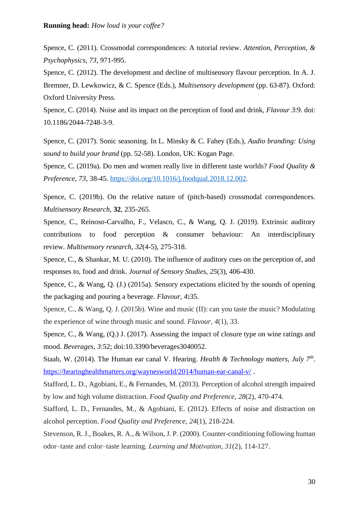Spence, C. (2011). Crossmodal correspondences: A tutorial review. *Attention, Perception, & Psychophysics*, *73*, 971-995.

Spence, C. (2012). The development and decline of multisensory flavour perception. In A. J. Bremner, D. Lewkowicz, & C. Spence (Eds.), *Multisensory development* (pp. 63-87). Oxford: Oxford University Press.

Spence, C. (2014). Noise and its impact on the perception of food and drink, *Flavour 3*:9. doi: 10.1186/2044-7248-3-9.

Spence, C. (2017). Sonic seasoning. In L. Minsky & C. Fahey (Eds.), *Audio branding: Using sound to build your brand* (pp. 52-58). London, UK: Kogan Page.

Spence, C. (2019a). Do men and women really live in different taste worlds? *Food Quality & Preference*, *73*, 38-45. [https://doi.org/10.1016/j.foodqual.2018.12.002.](https://doi.org/10.1016/j.foodqual.2018.12.002)

Spence, C. (2019b). On the relative nature of (pitch-based) crossmodal correspondences. *Multisensory Research*, **32**, 235-265.

Spence, C., Reinoso-Carvalho, F., Velasco, C., & Wang, Q. J. (2019). Extrinsic auditory contributions to food perception & consumer behaviour: An interdisciplinary review. *Multisensory research*, *32*(4-5), 275-318.

Spence, C., & Shankar, M. U. (2010). The influence of auditory cues on the perception of, and responses to, food and drink. *Journal of Sensory Studies*, *25*(3), 406-430.

Spence, C., & Wang, Q. (J.) (2015a). Sensory expectations elicited by the sounds of opening the packaging and pouring a beverage. *Flavour*, *4***:**35.

Spence, C., & Wang, Q. J. (2015b). Wine and music (II): can you taste the music? Modulating the experience of wine through music and sound. *Flavour*, *4*(1), 33.

Spence, C., & Wang, (Q.) J. (2017). Assessing the impact of closure type on wine ratings and mood. *Beverages, 3*:52; doi:10.3390/beverages3040052.

Staab, W. (2014). The Human ear canal V. Hearing. *Health & Technology matters, July 7th* . <https://hearinghealthmatters.org/waynesworld/2014/human-ear-canal-v/> .

Stafford, L. D., Agobiani, E., & Fernandes, M. (2013). Perception of alcohol strength impaired by low and high volume distraction. *Food Quality and Preference*, *28*(2), 470-474.

Stafford, L. D., Fernandes, M., & Agobiani, E. (2012). Effects of noise and distraction on alcohol perception. *Food Quality and Preference*, *24*(1), 218-224.

Stevenson, R. J., Boakes, R. A., & Wilson, J. P. (2000). Counter-conditioning following human odor–taste and color–taste learning. *Learning and Motivation*, *31*(2), 114-127.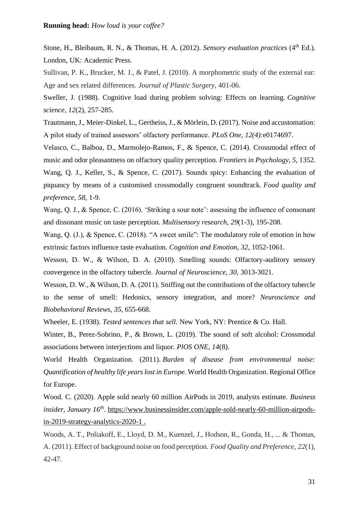Stone, H., Bleibaum, R. N., & Thomas, H. A. (2012). *Sensory evaluation practices* (4<sup>th</sup> Ed.). London, UK: Academic Press.

Sullivan, P. K., Brucker, M. J., & Patel, J. (2010). A morphometric study of the external ear: Age and sex related differences. *Journal of Plastic Surgery*, 401-06.

Sweller, J. (1988). Cognitive load during problem solving: Effects on learning. *Cognitive science*, *12*(2), 257-285.

Trautmann, J., Meier-Dinkel, L., Gertheiss, J., & Mörlein, D. (2017). Noise and accustomation: A pilot study of trained assessors' olfactory performance. *PLoS One*, *12(4):*e0174697.

Velasco, C., Balboa, D., Marmolejo-Ramos, F., & Spence, C. (2014). Crossmodal effect of music and odor pleasantness on olfactory quality perception. *Frontiers in Psychology*, *5*, 1352. Wang, Q. J., Keller, S., & Spence, C. (2017). Sounds spicy: Enhancing the evaluation of piquancy by means of a customised crossmodally congruent soundtrack. *Food quality and preference*, *58*, 1-9.

Wang, Q. J., & Spence, C. (2016). 'Striking a sour note': assessing the influence of consonant and dissonant music on taste perception. *Multisensory research*, *29*(1-3), 195-208.

Wang, Q. (J.), & Spence, C. (2018). "A sweet smile": The modulatory role of emotion in how extrinsic factors influence taste evaluation. *Cognition and Emotion*, *32*, 1052-1061.

Wesson, D. W., & Wilson, D. A. (2010). Smelling sounds: Olfactory-auditory sensory convergence in the olfactory tubercle. *Journal of Neuroscience*, *30*, 3013-3021.

Wesson, D. W., & Wilson, D. A. (2011). Sniffing out the contributions of the olfactory tubercle to the sense of smell: Hedonics, sensory integration, and more? *Neuroscience and Biobehavioral Reviews*, *35*, 655-668.

Wheeler, E. (1938). *Tested sentences that sell*. New York, NY: Prentice & Co. Hall.

Winter, B., Perez-Sobrino, P., & Brown, L. (2019). The sound of soft alcohol: Crossmodal associations between interjections and liquor. *PlOS ONE*, *14*(8).

World Health Organization. (2011). *Burden of disease from environmental noise: Quantification of healthy life years lost in Europe*. World Health Organization. Regional Office for Europe.

Wood. C. (2020). Apple sold nearly 60 million AirPods in 2019, analysts estimate. *Business insider, January 16th .* [https://www.businessinsider.com/apple-sold-nearly-60-million-airpods](https://www.businessinsider.com/apple-sold-nearly-60-million-airpods-in-2019-strategy-analytics-2020-1)[in-2019-strategy-analytics-2020-1](https://www.businessinsider.com/apple-sold-nearly-60-million-airpods-in-2019-strategy-analytics-2020-1) .

Woods, A. T., Poliakoff, E., Lloyd, D. M., Kuenzel, J., Hodson, R., Gonda, H., ... & Thomas, A. (2011). Effect of background noise on food perception. *Food Quality and Preference*, *22*(1), 42-47.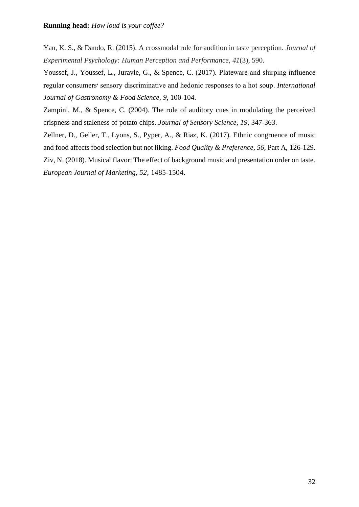Yan, K. S., & Dando, R. (2015). A crossmodal role for audition in taste perception. *Journal of Experimental Psychology: Human Perception and Performance*, *41*(3), 590.

Youssef, J., Youssef, L., Juravle, G., & Spence, C. (2017). Plateware and slurping influence regular consumers׳ sensory discriminative and hedonic responses to a hot soup. *International Journal of Gastronomy & Food Science*, *9*, 100-104.

Zampini, M., & Spence, C. (2004). The role of auditory cues in modulating the perceived crispness and staleness of potato chips. *Journal of Sensory Science*, *19*, 347-363.

Zellner, D., Geller, T., Lyons, S., Pyper, A., & Riaz, K. (2017). Ethnic congruence of music and food affects food selection but not liking. *Food Quality & Preference, 56,* Part A, 126-129.

Ziv, N. (2018). Musical flavor: The effect of background music and presentation order on taste. *European Journal of Marketing, 52*, 1485-1504.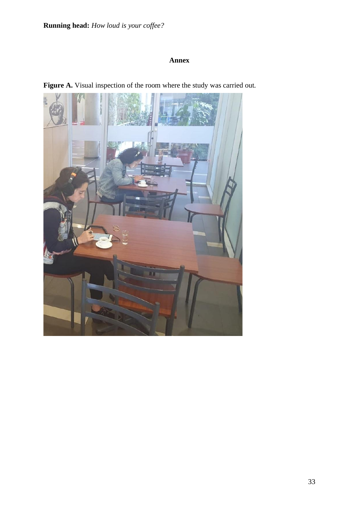# **Annex**



Figure A. Visual inspection of the room where the study was carried out.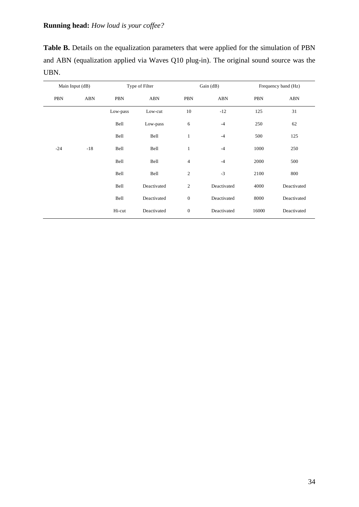| <b>Table B.</b> Details on the equalization parameters that were applied for the simulation of PBN |
|----------------------------------------------------------------------------------------------------|
| and ABN (equalization applied via Waves Q10 plug-in). The original sound source was the            |
| UBN.                                                                                               |

| Main Input (dB) |            |          | Type of Filter |                  | Gain (dB)   | Frequency band (Hz) |             |
|-----------------|------------|----------|----------------|------------------|-------------|---------------------|-------------|
| PBN             | <b>ABN</b> | PBN      | <b>ABN</b>     | PBN              | ABN         | PBN                 | ABN         |
|                 |            | Low-pass | Low-cut        | 10               | $-12$       | 125                 | 31          |
|                 |            | Bell     | Low-pass       | 6                | $-4$        | 250                 | 62          |
|                 |            | Bell     | Bell           | $\mathbf{1}$     | $-4$        | 500                 | 125         |
| $-24$           | $-18$      | Bell     | Bell           | $\mathbf{1}$     | $-4$        | 1000                | 250         |
|                 |            | Bell     | Bell           | $\overline{4}$   | $-4$        | 2000                | 500         |
|                 |            | Bell     | Bell           | $\overline{c}$   | $-3$        | 2100                | 800         |
|                 |            | Bell     | Deactivated    | $\overline{c}$   | Deactivated | 4000                | Deactivated |
|                 |            | Bell     | Deactivated    | $\boldsymbol{0}$ | Deactivated | 8000                | Deactivated |
|                 |            | Hi-cut   | Deactivated    | $\boldsymbol{0}$ | Deactivated | 16000               | Deactivated |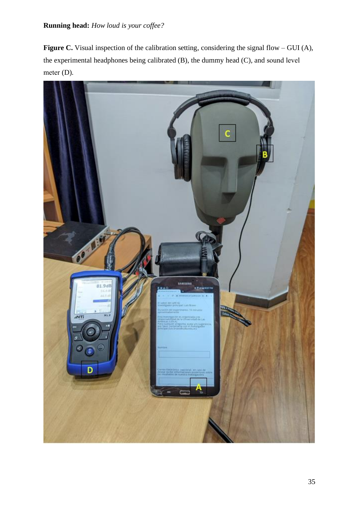Figure C. Visual inspection of the calibration setting, considering the signal flow – GUI (A), the experimental headphones being calibrated (B), the dummy head (C), and sound level meter (D).

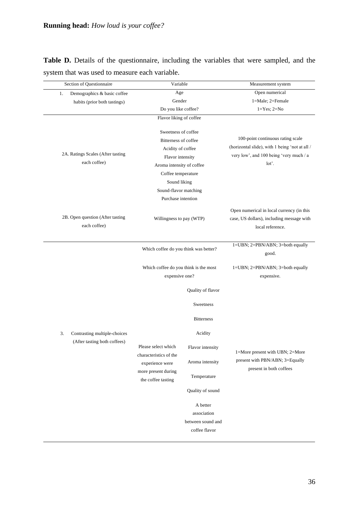|  |  | Table D. Details of the questionnaire, including the variables that were sampled, and the |  |  |  |  |
|--|--|-------------------------------------------------------------------------------------------|--|--|--|--|
|  |  | system that was used to measure each variable.                                            |  |  |  |  |

| Section of Questionnaire                          | Variable                                                                                                                                                                                |                   | Measurement system                                                                                                                      |  |  |
|---------------------------------------------------|-----------------------------------------------------------------------------------------------------------------------------------------------------------------------------------------|-------------------|-----------------------------------------------------------------------------------------------------------------------------------------|--|--|
| Demographics & basic coffee<br>1.                 | Age                                                                                                                                                                                     |                   | Open numerical                                                                                                                          |  |  |
| habits (prior both tastings)                      | Gender                                                                                                                                                                                  |                   | 1=Male; 2=Female                                                                                                                        |  |  |
|                                                   | Do you like coffee?                                                                                                                                                                     |                   | $1 = Yes$ ; $2 = No$                                                                                                                    |  |  |
|                                                   | Flavor liking of coffee                                                                                                                                                                 |                   |                                                                                                                                         |  |  |
| 2A. Ratings Scales (After tasting<br>each coffee) | Sweetness of coffee<br><b>Bitterness of coffee</b><br>Acidity of coffee<br>Flavor intensity<br>Aroma intensity of coffee<br>Coffee temperature<br>Sound liking<br>Sound-flavor matching |                   | 100-point continuous rating scale<br>(horizontal slide), with 1 being 'not at all /<br>very low', and 100 being 'very much / a<br>lot'. |  |  |
|                                                   | Purchase intention                                                                                                                                                                      |                   |                                                                                                                                         |  |  |
| 2B. Open question (After tasting<br>each coffee)  | Willingness to pay (WTP)                                                                                                                                                                |                   | Open numerical in local currency (in this<br>case, US dollars), including message with<br>local reference.                              |  |  |
|                                                   | Which coffee do you think was better?                                                                                                                                                   |                   | 1=UBN; 2=PBN/ABN; 3=both equally<br>good.                                                                                               |  |  |
|                                                   | Which coffee do you think is the most<br>expensive one?                                                                                                                                 |                   | $1 = UBN$ ; $2 = PBN/ABN$ ; $3 = both equally$<br>expensive.                                                                            |  |  |
|                                                   |                                                                                                                                                                                         | Quality of flavor |                                                                                                                                         |  |  |
|                                                   |                                                                                                                                                                                         | Sweetness         |                                                                                                                                         |  |  |
|                                                   |                                                                                                                                                                                         | <b>Bitterness</b> |                                                                                                                                         |  |  |
| 3.<br>Contrasting multiple-choices                |                                                                                                                                                                                         | Acidity           |                                                                                                                                         |  |  |
| (After tasting both coffees)                      | Please select which<br>characteristics of the                                                                                                                                           | Flavor intensity  | 1=More present with UBN; 2=More                                                                                                         |  |  |
|                                                   | experience were                                                                                                                                                                         | Aroma intensity   | present with PBN/ABN; 3=Equally                                                                                                         |  |  |
|                                                   | more present during                                                                                                                                                                     | Temperature       | present in both coffees                                                                                                                 |  |  |
|                                                   | the coffee tasting                                                                                                                                                                      | Quality of sound  |                                                                                                                                         |  |  |
|                                                   |                                                                                                                                                                                         |                   |                                                                                                                                         |  |  |
|                                                   | A better<br>association<br>between sound and<br>coffee flavor                                                                                                                           |                   |                                                                                                                                         |  |  |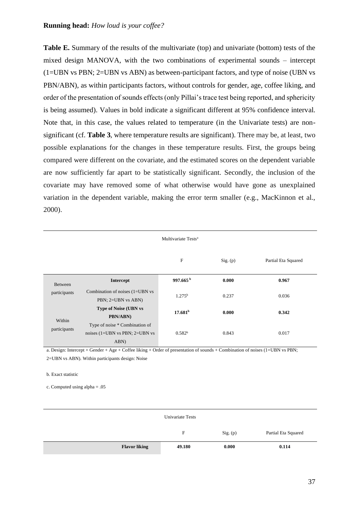**Table E.** Summary of the results of the multivariate (top) and univariate (bottom) tests of the mixed design MANOVA, with the two combinations of experimental sounds – intercept (1=UBN vs PBN; 2=UBN vs ABN) as between-participant factors, and type of noise (UBN vs PBN/ABN), as within participants factors, without controls for gender, age, coffee liking, and order of the presentation of sounds effects (only Pillai's trace test being reported, and sphericity is being assumed). Values in bold indicate a significant different at 95% confidence interval. Note that, in this case, the values related to temperature (in the Univariate tests) are nonsignificant (cf. **Table 3**, where temperature results are significant). There may be, at least, two possible explanations for the changes in these temperature results. First, the groups being compared were different on the covariate, and the estimated scores on the dependent variable are now sufficiently far apart to be statistically significant. Secondly, the inclusion of the covariate may have removed some of what otherwise would have gone as unexplained variation in the dependent variable, making the error term smaller (e.g., MacKinnon et al., 2000).

|                         | Multivariate Tests <sup>a</sup>                                                      |                      |          |                     |  |  |
|-------------------------|--------------------------------------------------------------------------------------|----------------------|----------|---------------------|--|--|
|                         |                                                                                      | F                    | Sig. (p) | Partial Eta Squared |  |  |
| Between<br>participants | Intercept                                                                            | 997.665 <sup>b</sup> | 0.000    | 0.967               |  |  |
|                         | Combination of noises (1=UBN vs<br>PBN; 2=UBN vs ABN)                                | 1.275 <sup>b</sup>   | 0.237    | 0.036               |  |  |
| Within<br>participants  | <b>Type of Noise (UBN vs</b><br><b>PBN/ABN)</b>                                      | 17.681 <sup>b</sup>  | 0.000    | 0.342               |  |  |
|                         | Type of noise * Combination of<br>noises $(1=UBN \text{ vs } PBN; 2=UBN \text{ vs }$ | 0.582 <sup>b</sup>   | 0.843    | 0.017               |  |  |
|                         | ABN)                                                                                 |                      |          |                     |  |  |

a. Design: Intercept + Gender + Age + Coffee liking + Order of presentation of sounds + Combination of noises (1=UBN vs PBN; 2=UBN vs ABN). Within participants design: Noise

#### b. Exact statistic

c. Computed using alpha = .05

|                      | Univariate Tests |          |                     |  |  |
|----------------------|------------------|----------|---------------------|--|--|
|                      | F                | Sig. (p) | Partial Eta Squared |  |  |
| <b>Flavor liking</b> | 49.180           | 0.000    | 0.114               |  |  |